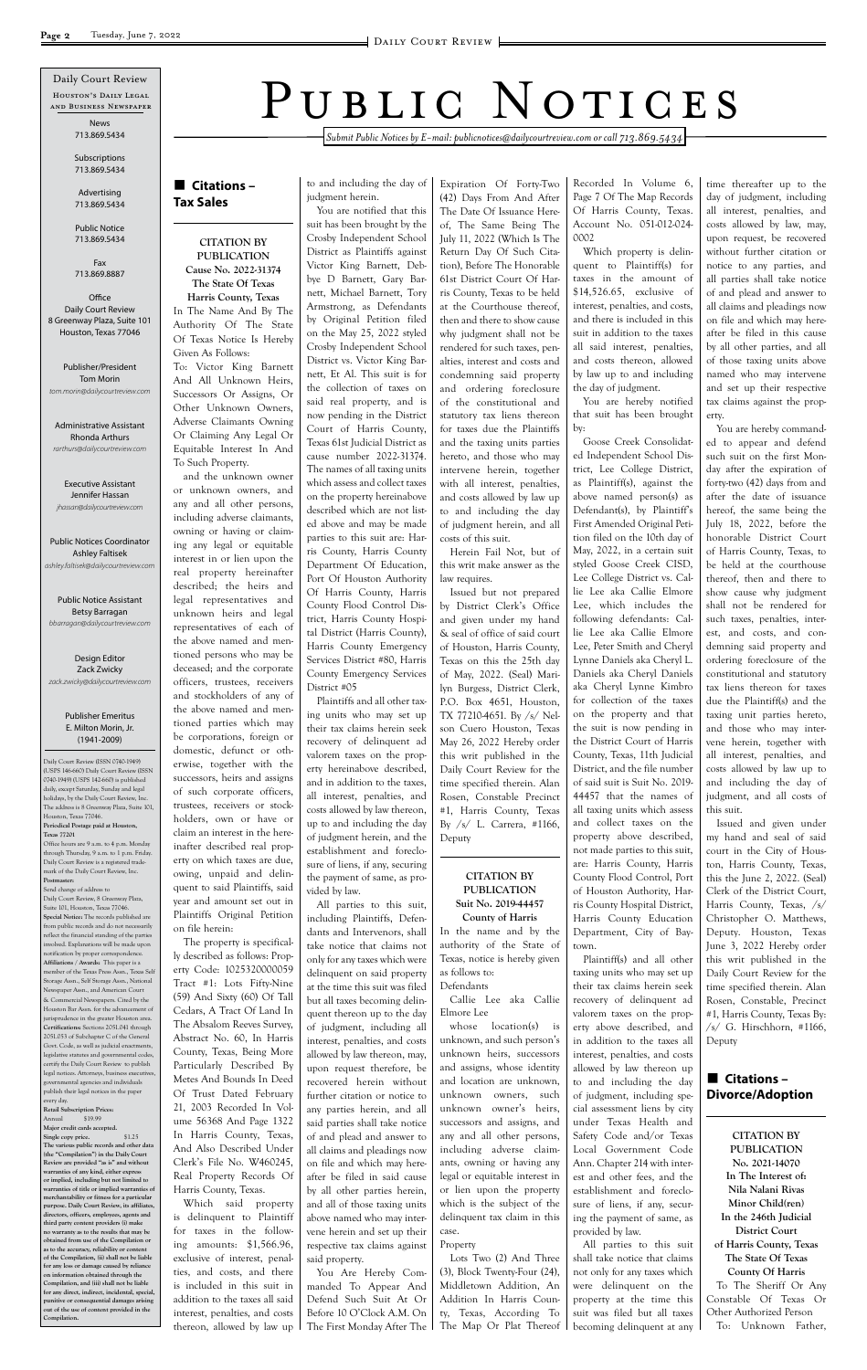*Submit Public Notices by E-mail: publicnotices@dailycourtreview.com or call 713.869.5434*

n **Citations – Tax Sales**

**CITATION BY PUBLICATION Cause No. 2022-31374 The State Of Texas Harris County, Texas** In The Name And By The Authority Of The State Of Texas Notice Is Hereby

Given As Follows:

To: Victor King Barnett And All Unknown Heirs, Successors Or Assigns, Or Other Unknown Owners, Adverse Claimants Owning Or Claiming Any Legal Or Equitable Interest In And

To Such Property.

and the unknown owner or unknown owners, and any and all other persons, including adverse claimants, owning or having or claiming any legal or equitable interest in or lien upon the real property hereinafter described; the heirs and legal representatives and unknown heirs and legal representatives of each of the above named and mentioned persons who may be deceased; and the corporate officers, trustees, receivers and stockholders of any of the above named and mentioned parties which may be corporations, foreign or domestic, defunct or otherwise, together with the successors, heirs and assigns of such corporate officers, trustees, receivers or stockholders, own or have or claim an interest in the hereinafter described real property on which taxes are due, owing, unpaid and delinquent to said Plaintiffs, said year and amount set out in Plaintiffs Original Petition

on file herein:

The property is specifically described as follows: Property Code: 1025320000059 Tract #1: Lots Fifty-Nine (59) And Sixty (60) Of Tall

Cedars, A Tract Of Land In The Absalom Reeves Survey, Abstract No. 60, In Harris County, Texas, Being More Particularly Described By Metes And Bounds In Deed Of Trust Dated February 21, 2003 Recorded In Volume 56368 And Page 1322 In Harris County, Texas, And Also Described Under Clerk's File No. W460245, Real Property Records Of Harris County, Texas. Which said property is delinquent to Plaintiff

for taxes in the following amounts: \$1,566.96, exclusive of interest, penalties, and costs, and there is included in this suit in addition to the taxes all said interest, penalties, and costs thereon, allowed by law up

to and including the day of judgment herein.

You are notified that this

suit has been brought by the Crosby Independent School District as Plaintiffs against Victor King Barnett, Debbye D Barnett, Gary Barnett, Michael Barnett, Tory Armstrong, as Defendants by Original Petition filed on the May 25, 2022 styled Crosby Independent School District vs. Victor King Barnett, Et Al. This suit is for the collection of taxes on said real property, and is now pending in the District Court of Harris County, Texas 61st Judicial District as cause number 2022-31374. The names of all taxing units which assess and collect taxes on the property hereinabove described which are not listed above and may be made parties to this suit are: Harris County, Harris County Department Of Education, Port Of Houston Authority Of Harris County, Harris County Flood Control District, Harris County Hospital District (Harris County), Harris County Emergency Services District #80, Harris County Emergency Services District #05

Plaintiffs and all other taxing units who may set up their tax claims herein seek recovery of delinquent ad valorem taxes on the property hereinabove described, and in addition to the taxes, all interest, penalties, and costs allowed by law thereon, up to and including the day of judgment herein, and the establishment and foreclosure of liens, if any, securing the payment of same, as provided by law.

All parties to this suit, including Plaintiffs, Defendants and Intervenors, shall take notice that claims not only for any taxes which were delinquent on said property at the time this suit was filed but all taxes becoming delinquent thereon up to the day of judgment, including all interest, penalties, and costs allowed by law thereon, may, upon request therefore, be recovered herein without further citation or notice to any parties herein, and all said parties shall take notice of and plead and answer to all claims and pleadings now on file and which may hereafter be filed in said cause by all other parties herein, and all of those taxing units above named who may intervene herein and set up their respective tax claims against said property. You Are Hereby Commanded To Appear And Defend Such Suit At Or Before 10 O'Clock A.M. On The First Monday After The

Expiration Of Forty-Two (42) Days From And After The Date Of Issuance Hereof, The Same Being The July 11, 2022 (Which Is The Return Day Of Such Citation), Before The Honorable 61st District Court Of Harris County, Texas to be held at the Courthouse thereof, then and there to show cause why judgment shall not be rendered for such taxes, penalties, interest and costs and condemning said property and ordering foreclosure of the constitutional and statutory tax liens thereon for taxes due the Plaintiffs and the taxing units parties hereto, and those who may intervene herein, together with all interest, penalties, and costs allowed by law up to and including the day of judgment herein, and all costs of this suit.

## ■ Citations – **Divorce/Adoption**

Herein Fail Not, but of this writ make answer as the law requires.

Issued but not prepared by District Clerk's Office and given under my hand & seal of office of said court of Houston, Harris County, Texas on this the 25th day of May, 2022. (Seal) Marilyn Burgess, District Clerk, P.O. Box 4651, Houston, TX 77210-4651. By /s/ Nelson Cuero Houston, Texas May 26, 2022 Hereby order this writ published in the Daily Court Review for the time specified therein. Alan Rosen, Constable Precinct #1, Harris County, Texas By /s/ L. Carrera, #1166, Deputy

#### **CITATION BY PUBLICATION Suit No. 2019-44457 County of Harris**

In the name and by the authority of the State of Texas, notice is hereby given as follows to:

Defendants Callie Lee aka Callie

Elmore Lee

whose location(s) is unknown, and such person's unknown heirs, successors and assigns, whose identity and location are unknown, unknown owners, such unknown owner's heirs, successors and assigns, and any and all other persons, including adverse claimants, owning or having any legal or equitable interest in or lien upon the property which is the subject of the delinquent tax claim in this case.

#### Property

Lots Two (2) And Three (3), Block Twenty-Four (24), Middletown Addition, An Addition In Harris County, Texas, According To The Map Or Plat Thereof

as to the accuracy, reliability or con **of the Compilation, (ii) shall not be liable for any loss or damage caused by reliance on information obtained through the Compilation, and (iii) shall not be liable for any direct, indirect, incidental, special, punitive or consequential damages arising out of the use of content provided in the** 

Recorded In Volume 6, Page 7 Of The Map Records Of Harris County, Texas. Account No. 051-012-024- 0002

**Office** Daily Court Review 8 Greenway Plaza, Suite 101 Houston, Texas 77046

Which property is delinquent to Plaintiff(s) for taxes in the amount of \$14,526.65, exclusive of interest, penalties, and costs, and there is included in this suit in addition to the taxes all said interest, penalties, and costs thereon, allowed by law up to and including the day of judgment.

You are hereby notified that suit has been brought by:

Goose Creek Consolidated Independent School District, Lee College District, as Plaintiff(s), against the above named person(s) as Defendant(s), by Plaintiff's First Amended Original Petition filed on the 10th day of May, 2022, in a certain suit styled Goose Creek CISD, Lee College District vs. Callie Lee aka Callie Elmore Lee, which includes the following defendants: Callie Lee aka Callie Elmore Lee, Peter Smith and Cheryl Lynne Daniels aka Cheryl L. Daniels aka Cheryl Daniels aka Cheryl Lynne Kimbro for collection of the taxes on the property and that the suit is now pending in the District Court of Harris County, Texas, 11th Judicial District, and the file number of said suit is Suit No. 2019- 44457 that the names of all taxing units which assess and collect taxes on the property above described, not made parties to this suit, are: Harris County, Harris County Flood Control, Port of Houston Authority, Harris County Hospital District, Harris County Education Department, City of Baytown.

Plaintiff(s) and all other taxing units who may set up their tax claims herein seek recovery of delinquent ad valorem taxes on the property above described, and in addition to the taxes all interest, penalties, and costs allowed by law thereon up to and including the day of judgment, including special assessment liens by city under Texas Health and Safety Code and/or Texas Local Government Code Ann. Chapter 214 with interest and other fees, and the establishment and foreclosure of liens, if any, securing the payment of same, as provided by law. All parties to this suit shall take notice that claims not only for any taxes which were delinquent on the property at the time this suit was filed but all taxes becoming delinquent at any

time thereafter up to the day of judgment, including all interest, penalties, and costs allowed by law, may, upon request, be recovered without further citation or notice to any parties, and all parties shall take notice of and plead and answer to all claims and pleadings now on file and which may hereafter be filed in this cause by all other parties, and all of those taxing units above named who may intervene and set up their respective tax claims against the property.

You are hereby commanded to appear and defend such suit on the first Monday after the expiration of forty-two (42) days from and after the date of issuance hereof, the same being the July 18, 2022, before the honorable District Court of Harris County, Texas, to be held at the courthouse thereof, then and there to show cause why judgment shall not be rendered for such taxes, penalties, interest, and costs, and condemning said property and ordering foreclosure of the constitutional and statutory tax liens thereon for taxes due the Plaintiff(s) and the taxing unit parties hereto, and those who may intervene herein, together with all interest, penalties, and costs allowed by law up to and including the day of judgment, and all costs of this suit.

Issued and given under my hand and seal of said court in the City of Houston, Harris County, Texas, this the June 2, 2022. (Seal) Clerk of the District Court, Harris County, Texas, /s/ Christopher O. Matthews, Deputy. Houston, Texas June 3, 2022 Hereby order this writ published in the Daily Court Review for the time specified therein. Alan Rosen, Constable, Precinct

#1, Harris County, Texas By:  $\sqrt{s}$  G. Hirschhorn, #1166, Deputy

**CITATION BY PUBLICATION No. 2021-14070 In The Interest of: Nila Nalani Rivas Minor Child(ren) In the 246th Judicial District Court of Harris County, Texas The State Of Texas County Of Harris** To The Sheriff Or Any Constable Of Texas Or Other Authorized Person To: Unknown Father,

Daily Court Review (ISSN 0740-1949) (USPS 146-660) Daily Court Review (ISSN 0740-1949) (USPS 142-660) is published daily, except Saturday, Sunday and legal holidays, by the Daily Court Review, Inc. The address is 8 Greenway Plaza, Suite 101, Houston, Texas 77046. **Periodical Postage paid at Houston, Texas 77201** Office hours are 9 a.m. to 4 p.m. Monday

through Thursday, 9 a.m. to 1 p.m. Friday. Daily Court Review is a registered trademark of the Daily Court Review, Inc. **Postmaster:**

Houston's Daily Legal and Business Newspaper Daily Court Review

Send change of address to Daily Court Review, 8 Greenway Plaza, Suite 101, Houston, Texas 77046. **Special Notice:** The records published are from public records and do not necessarily reflect the financial standing of the parties involved. Explanations will be made upon notification by proper correspondence. **Affiliations / Awards:** This paper is a member of the Texas Press Assn., Texas Self Storage Assn., Self Storage Assn., National Newspaper Assn., and American Court & Commercial Newspapers. Cited by the Houston Bar Assn. for the advancement of urisprudence in the greater Houston area. **Certifications:** Sections 2051.041 through 2051.053 of Subchapter C of the General Govt. Code, as well as judicial enactments, legislative statutes and governmental codes, certify the Daily Court Review to publish legal notices. Attorneys, business executive governmental agencies and individuals publish their legal notices in the paper every day. **Retail Subscription Prices:** Annual \$19.99 **Major credit cards accepted. Single copy price.** \$1.25 **The various public records and other data (the "Compilation") in the Daily Court Review are provided "as is" and without warranties of any kind, either express or implied, including but not limited to warranties of title or implied warranties of merchantability or fitness for a particular purpose. Daily Court Review, its affiliates, directors, officers, employees, agents and third party content providers (i) make no warranty as to the results that may be obtained from use of the Compilation or** 

**Compilation.**

# PUBLIC NOTICES

News 713.869.5434

Subscriptions 713.869.5434

Advertising 713.869.5434

Public Notice 713.869.5434

Fax 713.869.8887

Publisher/President Tom Morin *tom.morin@dailycourtreview.com*

Administrative Assistant Rhonda Arthurs *rarthurs@dailycourtreview.com*

Executive Assistant Jennifer Hassan *jhassan@dailycourtreview.com*

Public Notices Coordinator Ashley Faltisek *ashley.faltisek@dailycourtreview.com*

Public Notice Assistant Betsy Barragan *bbarragan@dailycourtreview.com*

Design Editor Zack Zwicky *zack.zwicky@dailycourtreview.com*

#### Publisher Emeritus E. Milton Morin, Jr. (1941-2009)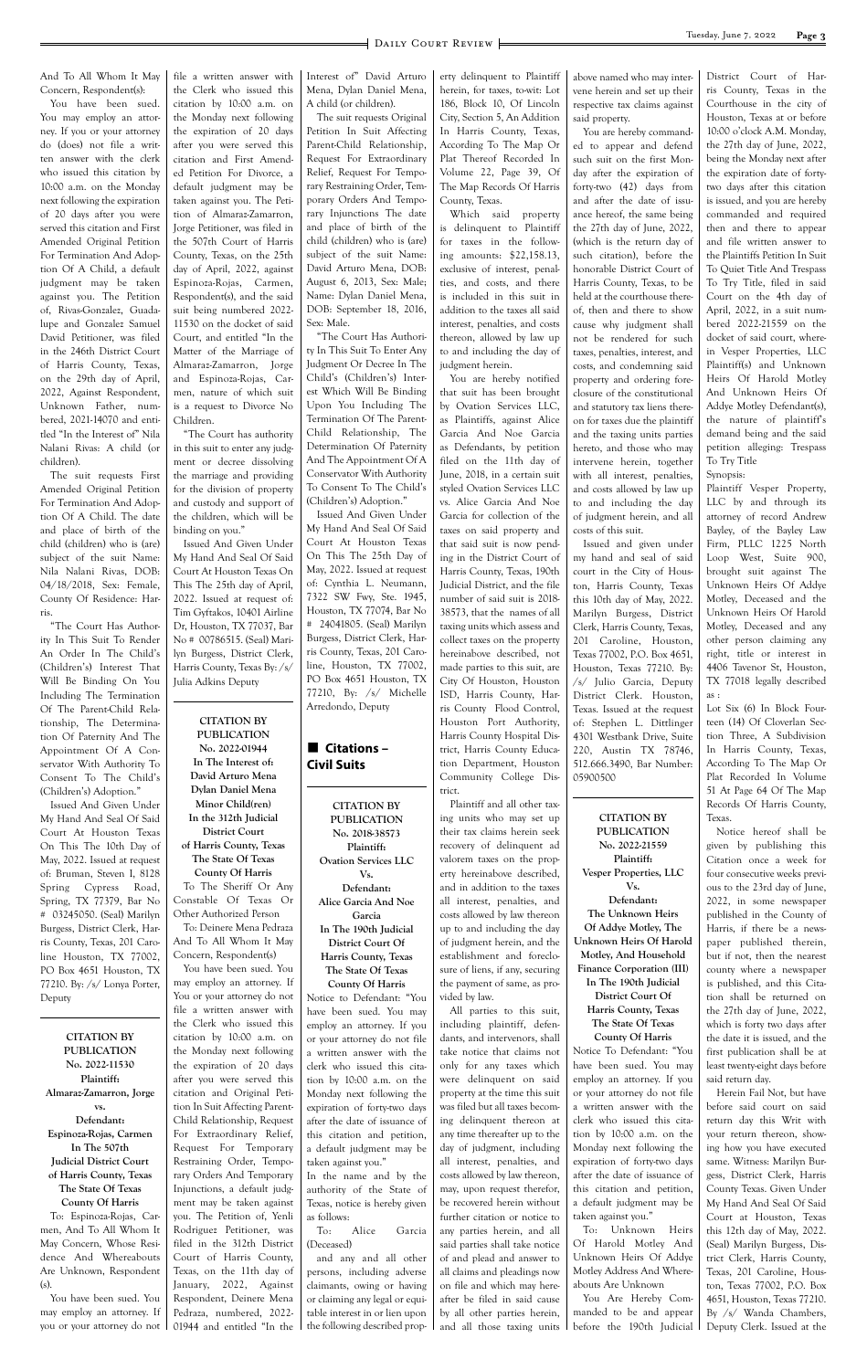And To All Whom It May Concern, Respondent(s):

You have been sued. You may employ an attorney. If you or your attorney do (does) not file a written answer with the clerk who issued this citation by 10:00 a.m. on the Monday next following the expiration of 20 days after you were served this citation and First Amended Original Petition For Termination And Adoption Of A Child, a default judgment may be taken against you. The Petition of, Rivas-Gonzalez, Guadalupe and Gonzalez Samuel David Petitioner, was filed in the 246th District Court of Harris County, Texas, on the 29th day of April, 2022, Against Respondent, Unknown Father, numbered, 2021-14070 and entitled "In the Interest of" Nila Nalani Rivas: A child (or children).

The suit requests First Amended Original Petition For Termination And Adoption Of A Child. The date and place of birth of the child (children) who is (are) subject of the suit Name: Nila Nalani Rivas, DOB: 04/18/2018, Sex: Female, County Of Residence: Harris.

"The Court Has Authority In This Suit To Render An Order In The Child's (Children's) Interest That Will Be Binding On You Including The Termination Of The Parent-Child Relationship, The Determination Of Paternity And The Appointment Of A Conservator With Authority To Consent To The Child's (Children's) Adoption."

Issued And Given Under My Hand And Seal Of Said Court At Houston Texas On This The 10th Day of May, 2022. Issued at request of: Bruman, Steven I, 8128 Spring Cypress Road, Spring, TX 77379, Bar No # 03245050. (Seal) Marilyn Burgess, District Clerk, Harris County, Texas, 201 Caroline Houston, TX 77002, PO Box 4651 Houston, TX 77210. By: /s/ Lonya Porter, Deputy

**CITATION BY PUBLICATION No. 2022-11530 Plaintiff: Almaraz-Zamarron, Jorge vs. Defendant: Espinoza-Rojas, Carmen In The 507th Judicial District Court of Harris County, Texas The State Of Texas County Of Harris** To: Espinoza-Rojas, Carmen, And To All Whom It May Concern, Whose Residence And Whereabouts Are Unknown, Respondent (s).

You have been sued. You may employ an attorney. If you or your attorney do not file a written answer with the Clerk who issued this citation by 10:00 a.m. on the Monday next following the expiration of 20 days after you were served this citation and First Amended Petition For Divorce, a default judgment may be taken against you. The Petition of Almaraz-Zamarron, Jorge Petitioner, was filed in the 507th Court of Harris County, Texas, on the 25th day of April, 2022, against Espinoza-Rojas, Carmen, Respondent(s), and the said suit being numbered 2022- 11530 on the docket of said Court, and entitled "In the Matter of the Marriage of Almaraz-Zamarron, Jorge and Espinoza-Rojas, Carmen, nature of which suit is a request to Divorce No

Children. "The Court has authority in this suit to enter any judgment or decree dissolving the marriage and providing for the division of property and custody and support of the children, which will be binding on you."

Issued And Given Under My Hand And Seal Of Said Court At Houston Texas On This The 25th day of April, 2022. Issued at request of: Tim Gyftakos, 10401 Airline Dr, Houston, TX 77037, Bar No # 00786515. (Seal) Marilyn Burgess, District Clerk, Harris County, Texas By: /s/ Julia Adkins Deputy

**CITATION BY PUBLICATION No. 2022-01944 In The Interest of: David Arturo Mena Dylan Daniel Mena Minor Child(ren) In the 312th Judicial District Court of Harris County, Texas The State Of Texas County Of Harris** To The Sheriff Or Any Constable Of Texas Or Other Authorized Person To: Deinere Mena Pedraza And To All Whom It May Concern, Respondent(s) You have been sued. You may employ an attorney. If

You or your attorney do not

file a written answer with the Clerk who issued this citation by 10:00 a.m. on the Monday next following the expiration of 20 days after you were served this citation and Original Petition In Suit Affecting Parent-Child Relationship, Request For Extraordinary Relief, Request For Temporary Restraining Order, Temporary Orders And Temporary Injunctions, a default judgment may be taken against you. The Petition of, Yenli Rodriguez Petitioner, was filed in the 312th District Court of Harris County, Texas, on the 11th day of January, 2022, Against Respondent, Deinere Mena Pedraza, numbered, 2022- 01944 and entitled "In the Interest of" David Arturo Mena, Dylan Daniel Mena, A child (or children).

The suit requests Original Petition In Suit Affecting Parent-Child Relationship, Request For Extraordinary Relief, Request For Temporary Restraining Order, Temporary Orders And Temporary Injunctions The date and place of birth of the child (children) who is (are) subject of the suit Name: David Arturo Mena, DOB: August 6, 2013, Sex: Male; Name: Dylan Daniel Mena, DOB: September 18, 2016, Sex: Male.

"The Court Has Authority In This Suit To Enter Any Judgment Or Decree In The Child's (Children's) Interest Which Will Be Binding Upon You Including The Termination Of The Parent-Child Relationship, The Determination Of Paternity And The Appointment Of A Conservator With Authority To Consent To The Child's (Children's) Adoption."

Issued And Given Under My Hand And Seal Of Said Court At Houston Texas On This The 25th Day of May, 2022. Issued at request of: Cynthia L. Neumann, 7322 SW Fwy, Ste. 1945, Houston, TX 77074, Bar No # 24041805. (Seal) Marilyn Burgess, District Clerk, Harris County, Texas, 201 Caroline, Houston, TX 77002, PO Box 4651 Houston, TX 77210, By: /s/ Michelle Arredondo, Deputy



**CITATION BY PUBLICATION No. 2018-38573 Plaintiff: Ovation Services LLC Vs. Defendant: Alice Garcia And Noe Garcia In The 190th Judicial District Court Of Harris County, Texas The State Of Texas County Of Harris**

Notice to Defendant: "You have been sued. You may employ an attorney. If you or your attorney do not file a written answer with the clerk who issued this citation by 10:00 a.m. on the Monday next following the expiration of forty-two days after the date of issuance of this citation and petition, a default judgment may be taken against you." In the name and by the authority of the State of Texas, notice is hereby given as follows: To: Alice Garcia (Deceased) and any and all other persons, including adverse claimants, owing or having or claiming any legal or equi-

table interest in or lien upon the following described prop-

erty delinquent to Plaintiff herein, for taxes, to-wit: Lot 186, Block 10, Of Lincoln City, Section 5, An Addition In Harris County, Texas, According To The Map Or Plat Thereof Recorded In Volume 22, Page 39, Of The Map Records Of Harris County, Texas.

Which said property is delinquent to Plaintiff for taxes in the following amounts: \$22,158.13, exclusive of interest, penalties, and costs, and there is included in this suit in addition to the taxes all said interest, penalties, and costs thereon, allowed by law up to and including the day of judgment herein.

You are hereby notified that suit has been brought by Ovation Services LLC, as Plaintiffs, against Alice Garcia And Noe Garcia as Defendants, by petition filed on the 11th day of June, 2018, in a certain suit styled Ovation Services LLC vs. Alice Garcia And Noe Garcia for collection of the taxes on said property and that said suit is now pending in the District Court of Harris County, Texas, 190th Judicial District, and the file number of said suit is 2018- 38573, that the names of all taxing units which assess and collect taxes on the property hereinabove described, not made parties to this suit, are City Of Houston, Houston ISD, Harris County, Harris County Flood Control, Houston Port Authority, Harris County Hospital District, Harris County Education Department, Houston Community College District.

Plaintiff and all other taxing units who may set up their tax claims herein seek recovery of delinquent ad valorem taxes on the property hereinabove described, and in addition to the taxes all interest, penalties, and costs allowed by law thereon up to and including the day of judgment herein, and the establishment and foreclosure of liens, if any, securing the payment of same, as provided by law. All parties to this suit, including plaintiff, defendants, and intervenors, shall take notice that claims not only for any taxes which were delinquent on said property at the time this suit was filed but all taxes becoming delinquent thereon at any time thereafter up to the day of judgment, including all interest, penalties, and costs allowed by law thereon, may, upon request therefor, be recovered herein without further citation or notice to any parties herein, and all said parties shall take notice of and plead and answer to all claims and pleadings now on file and which may hereafter be filed in said cause by all other parties herein, and all those taxing units

above named who may intervene herein and set up their respective tax claims against said property.

You are hereby commanded to appear and defend such suit on the first Monday after the expiration of forty-two (42) days from and after the date of issuance hereof, the same being the 27th day of June, 2022, (which is the return day of such citation), before the honorable District Court of Harris County, Texas, to be held at the courthouse thereof, then and there to show cause why judgment shall not be rendered for such taxes, penalties, interest, and costs, and condemning said property and ordering foreclosure of the constitutional and statutory tax liens thereon for taxes due the plaintiff and the taxing units parties hereto, and those who may intervene herein, together with all interest, penalties, and costs allowed by law up to and including the day of judgment herein, and all costs of this suit.

Issued and given under my hand and seal of said court in the City of Houston, Harris County, Texas this 10th day of May, 2022. Marilyn Burgess, District Clerk, Harris County, Texas, 201 Caroline, Houston, Texas 77002, P.O. Box 4651, Houston, Texas 77210. By: /s/ Julio Garcia, Deputy District Clerk. Houston, Texas. Issued at the request of: Stephen L. Dittlinger 4301 Westbank Drive, Suite 220, Austin TX 78746, 512.666.3490, Bar Number: 05900500

**CITATION BY PUBLICATION No. 2022-21559 Plaintiff: Vesper Properties, LLC Vs. Defendant: The Unknown Heirs Of Addye Motley, The Unknown Heirs Of Harold Motley, And Household Finance Corporation (III) In The 190th Judicial District Court Of Harris County, Texas**

## **The State Of Texas County Of Harris**

Notice To Defendant: "You have been sued. You may employ an attorney. If you or your attorney do not file a written answer with the clerk who issued this citation by 10:00 a.m. on the Monday next following the expiration of forty-two days after the date of issuance of this citation and petition, a default judgment may be taken against you."

To: Unknown Heirs Of Harold Motley And Unknown Heirs Of Addye Motley Address And Whereabouts Are Unknown

You Are Hereby Commanded to be and appear before the 190th Judicial

District Court of Harris County, Texas in the Courthouse in the city of Houston, Texas at or before 10:00 o'clock A.M. Monday, the 27th day of June, 2022, being the Monday next after the expiration date of fortytwo days after this citation is issued, and you are hereby commanded and required then and there to appear and file written answer to the Plaintiffs Petition In Suit To Quiet Title And Trespass To Try Title, filed in said Court on the 4th day of April, 2022, in a suit numbered 2022-21559 on the docket of said court, wherein Vesper Properties, LLC Plaintiff(s) and Unknown Heirs Of Harold Motley And Unknown Heirs Of Addye Motley Defendant(s), the nature of plaintiff's demand being and the said petition alleging: Trespass To Try Title Synopsis:

Plaintiff Vesper Property, LLC by and through its attorney of record Andrew Bayley, of the Bayley Law Firm, PLLC 1225 North Loop West, Suite 900, brought suit against The Unknown Heirs Of Addye Motley, Deceased and the Unknown Heirs Of Harold Motley, Deceased and any other person claiming any right, title or interest in 4406 Tavenor St, Houston, TX 77018 legally described as :

Lot Six (6) In Block Fourteen (14) Of Cloverlan Section Three, A Subdivision In Harris County, Texas, According To The Map Or Plat Recorded In Volume 51 At Page 64 Of The Map Records Of Harris County, Texas.

Notice hereof shall be given by publishing this Citation once a week for four consecutive weeks previous to the 23rd day of June, 2022, in some newspaper published in the County of Harris, if there be a newspaper published therein, but if not, then the nearest county where a newspaper is published, and this Citation shall be returned on the 27th day of June, 2022, which is forty two days after the date it is issued, and the first publication shall be at least twenty-eight days before said return day. Herein Fail Not, but have before said court on said return day this Writ with your return thereon, showing how you have executed same. Witness: Marilyn Burgess, District Clerk, Harris County Texas. Given Under My Hand And Seal Of Said Court at Houston, Texas this 12th day of May, 2022. (Seal) Marilyn Burgess, District Clerk, Harris County, Texas, 201 Caroline, Houston, Texas 77002, P.O. Box 4651, Houston, Texas 77210. By /s/ Wanda Chambers, Deputy Clerk. Issued at the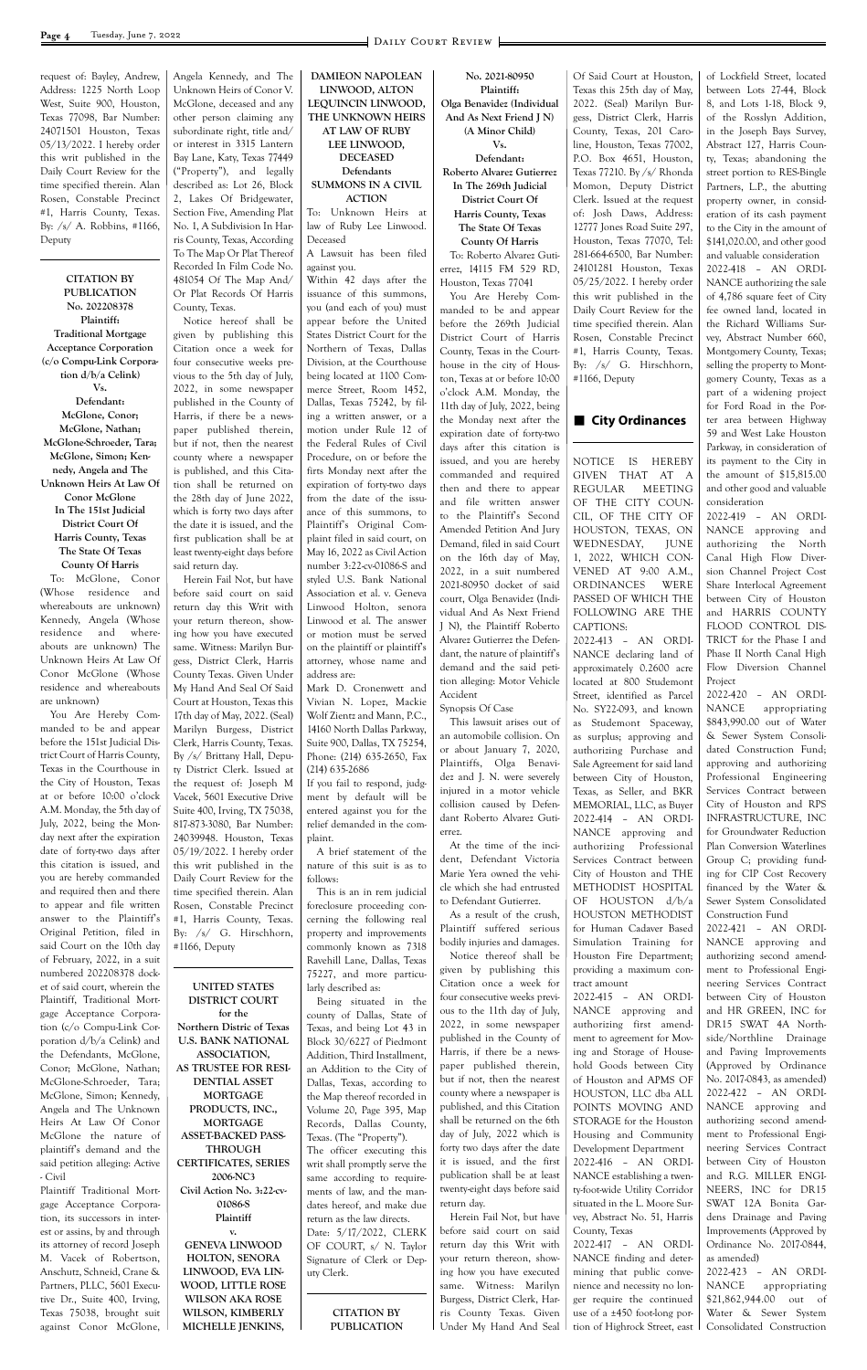request of: Bayley, Andrew, Address: 1225 North Loop West, Suite 900, Houston, Texas 77098, Bar Number: 24071501 Houston, Texas 05/13/2022. I hereby order this writ published in the Daily Court Review for the time specified therein. Alan Rosen, Constable Precinct #1, Harris County, Texas. By: /s/ A. Robbins, #1166, Deputy

**CITATION BY PUBLICATION No. 202208378 Plaintiff: Traditional Mortgage Acceptance Corporation (c/o Compu-Link Corporation d/b/a Celink) Vs. Defendant: McGlone, Conor; McGlone, Nathan; McGlone-Schroeder, Tara; McGlone, Simon; Kennedy, Angela and The Unknown Heirs At Law Of Conor McGlone In The 151st Judicial District Court Of Harris County, Texas The State Of Texas County Of Harris**

To: McGlone, Conor (Whose residence and whereabouts are unknown) Kennedy, Angela (Whose residence and whereabouts are unknown) The Unknown Heirs At Law Of Conor McGlone (Whose residence and whereabouts are unknown)

You Are Hereby Commanded to be and appear before the 151st Judicial District Court of Harris County, Texas in the Courthouse in the City of Houston, Texas at or before 10:00 o'clock A.M. Monday, the 5th day of July, 2022, being the Monday next after the expiration date of forty-two days after this citation is issued, and you are hereby commanded and required then and there to appear and file written answer to the Plaintiff's Original Petition, filed in said Court on the 10th day of February, 2022, in a suit numbered 202208378 docket of said court, wherein the Plaintiff, Traditional Mortgage Acceptance Corporation (c/o Compu-Link Corporation d/b/a Celink) and the Defendants, McGlone, Conor; McGlone, Nathan; McGlone-Schroeder, Tara; McGlone, Simon; Kennedy, Angela and The Unknown Heirs At Law Of Conor McGlone the nature of plaintiff's demand and the said petition alleging: Active - Civil Plaintiff Traditional Mortgage Acceptance Corporation, its successors in interest or assins, by and through its attorney of record Joseph M. Vacek of Robertson, Anschutz, Schneid, Crane & Partners, PLLC, 5601 Executive Dr., Suite 400, Irving, Texas 75038, brought suit against Conor McGlone, Angela Kennedy, and The Unknown Heirs of Conor V. McGlone, deceased and any other person claiming any subordinate right, title and/ or interest in 3315 Lantern Bay Lane, Katy, Texas 77449 ("Property"), and legally described as: Lot 26, Block 2, Lakes Of Bridgewater, Section Five, Amending Plat No. 1, A Subdivision In Harris County, Texas, According To The Map Or Plat Thereof Recorded In Film Code No. 481054 Of The Map And/ Or Plat Records Of Harris

County, Texas. Notice hereof shall be given by publishing this Citation once a week for four consecutive weeks previous to the 5th day of July, 2022, in some newspaper published in the County of Harris, if there be a newspaper published therein, but if not, then the nearest county where a newspaper is published, and this Citation shall be returned on the 28th day of June 2022, which is forty two days after the date it is issued, and the first publication shall be at least twenty-eight days before said return day.

Herein Fail Not, but have before said court on said return day this Writ with your return thereon, showing how you have executed same. Witness: Marilyn Burgess, District Clerk, Harris County Texas. Given Under My Hand And Seal Of Said Court at Houston, Texas this 17th day of May, 2022. (Seal) Marilyn Burgess, District Clerk, Harris County, Texas. By /s/ Brittany Hall, Deputy District Clerk. Issued at the request of: Joseph M Vacek, 5601 Executive Drive Suite 400, Irving, TX 75038, 817-873-3080, Bar Number: 24039948. Houston, Texas 05/19/2022. I hereby order this writ published in the Daily Court Review for the time specified therein. Alan Rosen, Constable Precinct #1, Harris County, Texas. By: /s/ G. Hirschhorn, #1166, Deputy

#### **UNITED STATES DISTRICT COURT**

**for the Northern Distric of Texas U.S. BANK NATIONAL ASSOCIATION, AS TRUSTEE FOR RESI-DENTIAL ASSET MORTGAGE PRODUCTS, INC., MORTGAGE ASSET-BACKED PASS-THROUGH CERTIFICATES, SERIES 2006-NC3 Civil Action No. 3:22-cv-01086-S Plaintiff v. GENEVA LINWOOD HOLTON, SENORA LINWOOD, EVA LIN-WOOD, LITTLE ROSE WILSON AKA ROSE WILSON, KIMBERLY MICHELLE JENKINS,** 

**DAMIEON NAPOLEAN LINWOOD, ALTON LEQUINCIN LINWOOD, THE UNKNOWN HEIRS AT LAW OF RUBY LEE LINWOOD, DECEASED Defendants SUMMONS IN A CIVIL ACTION** To: Unknown Heirs at law of Ruby Lee Linwood. Deceased A Lawsuit has been filed against you. Within 42 days after the issuance of this summons, you (and each of you) must appear before the United States District Court for the Northern of Texas, Dallas Division, at the Courthouse being located at 1100 Commerce Street, Room 1452, Dallas, Texas 75242, by filing a written answer, or a motion under Rule 12 of the Federal Rules of Civil Procedure, on or before the firts Monday next after the expiration of forty-two days from the date of the issuance of this summons, to Plaintiff's Original Complaint filed in said court, on May 16, 2022 as Civil Action number 3:22-cv-01086-S and

styled U.S. Bank National Association et al. v. Geneva Linwood Holton, senora Linwood et al. The answer or motion must be served on the plaintiff or plaintiff's attorney, whose name and address are:

Mark D. Cronenwett and Vivian N. Lopez, Mackie Wolf Zientz and Mann, P.C., 14160 North Dallas Parkway, Suite 900, Dallas, TX 75254, Phone: (214) 635-2650, Fax (214) 635-2686

If you fail to respond, judgment by default will be entered against you for the relief demanded in the complaint.

A brief statement of the nature of this suit is as to follows:

This is an in rem judicial foreclosure proceeding concerning the following real property and improvements commonly known as 7318 Ravehill Lane, Dallas, Texas 75227, and more particularly described as:

Being situated in the

county of Dallas, State of Texas, and being Lot 43 in Block 30/6227 of Piedmont Addition, Third Installment, an Addition to the City of Dallas, Texas, according to the Map thereof recorded in Volume 20, Page 395, Map Records, Dallas County, Texas. (The "Property"). The officer executing this writ shall promptly serve the same according to requirements of law, and the mandates hereof, and make due return as the law directs. Date: 5/17/2022, CLERK OF COURT, s/ N. Taylor Signature of Clerk or Deputy Clerk.

> **CITATION BY PUBLICATION**

**No. 2021-80950 Plaintiff: Olga Benavidez (Individual And As Next Friend J N) (A Minor Child)**

**Vs. Defendant: Roberto Alvarez Gutierrez In The 269th Judicial District Court Of Harris County, Texas The State Of Texas County Of Harris** To: Roberto Alvarez Gutierrez, 14115 FM 529 RD, Houston, Texas 77041

You Are Hereby Commanded to be and appear before the 269th Judicial District Court of Harris County, Texas in the Courthouse in the city of Houston, Texas at or before 10:00 o'clock A.M. Monday, the 11th day of July, 2022, being the Monday next after the expiration date of forty-two days after this citation is issued, and you are hereby commanded and required then and there to appear and file written answer to the Plaintiff's Second Amended Petition And Jury Demand, filed in said Court on the 16th day of May, 2022, in a suit numbered 2021-80950 docket of said court, Olga Benavidez (Individual And As Next Friend J N), the Plaintiff Roberto Alvarez Gutierrez the Defendant, the nature of plaintiff's demand and the said petition alleging: Motor Vehicle Accident

Synopsis Of Case

This lawsuit arises out of an automobile collision. On or about January 7, 2020, Plaintiffs, Olga Benavidez and J. N. were severely injured in a motor vehicle collision caused by Defendant Roberto Alvarez Gutierrez.

At the time of the incident, Defendant Victoria Marie Yera owned the vehicle which she had entrusted to Defendant Gutierrez.

As a result of the crush, Plaintiff suffered serious bodily injuries and damages.

Notice thereof shall be given by publishing this Citation once a week for four consecutive weeks previous to the 11th day of July, 2022, in some newspaper published in the County of Harris, if there be a newspaper published therein, but if not, then the nearest county where a newspaper is published, and this Citation shall be returned on the 6th day of July, 2022 which is forty two days after the date it is issued, and the first publication shall be at least twenty-eight days before said return day. Herein Fail Not, but have before said court on said return day this Writ with your return thereon, showing how you have executed same. Witness: Marilyn Burgess, District Clerk, Harris County Texas. Given Under My Hand And Seal

Of Said Court at Houston, Texas this 25th day of May, 2022. (Seal) Marilyn Burgess, District Clerk, Harris County, Texas, 201 Caroline, Houston, Texas 77002, P.O. Box 4651, Houston, Texas 77210. By /s/ Rhonda Momon, Deputy District Clerk. Issued at the request of: Josh Daws, Address: 12777 Jones Road Suite 297, Houston, Texas 77070, Tel: 281-664-6500, Bar Number: 24101281 Houston, Texas 05/25/2022. I hereby order this writ published in the Daily Court Review for the time specified therein. Alan Rosen, Constable Precinct #1, Harris County, Texas. By: /s/ G. Hirschhorn, #1166, Deputy

#### ■ City Ordinances

NOTICE IS HEREBY GIVEN THAT AT A REGULAR MEETING OF THE CITY COUN-CIL, OF THE CITY OF HOUSTON, TEXAS, ON WEDNESDAY, JUNE 1, 2022, WHICH CON-VENED AT 9:00 A.M., ORDINANCES WERE PASSED OF WHICH THE FOLLOWING ARE THE CAPTIONS:

2022-413 – AN ORDI-NANCE declaring land of approximately 0.2600 acre located at 800 Studemont Street, identified as Parcel No. SY22-093, and known as Studemont Spaceway, as surplus; approving and authorizing Purchase and Sale Agreement for said land between City of Houston, Texas, as Seller, and BKR MEMORIAL, LLC, as Buyer 2022-414 – AN ORDI-NANCE approving and authorizing Professional Services Contract between City of Houston and THE METHODIST HOSPITAL OF HOUSTON d/b/a HOUSTON METHODIST for Human Cadaver Based Simulation Training for Houston Fire Department; providing a maximum contract amount 2022-415 – AN ORDI-NANCE approving and authorizing first amendment to agreement for Moving and Storage of Household Goods between City of Houston and APMS OF HOUSTON, LLC dba ALL POINTS MOVING AND STORAGE for the Houston Housing and Community Development Department 2022-416 – AN ORDI-NANCE establishing a twenty-foot-wide Utility Corridor situated in the L. Moore Survey, Abstract No. 51, Harris County, Texas 2022-417 – AN ORDI-NANCE finding and determining that public convenience and necessity no longer require the continued use of a ±450 foot-long portion of Highrock Street, east

of Lockfield Street, located between Lots 27-44, Block 8, and Lots 1-18, Block 9, of the Rosslyn Addition, in the Joseph Bays Survey, Abstract 127, Harris County, Texas; abandoning the street portion to RES-Bingle Partners, L.P., the abutting property owner, in consideration of its cash payment to the City in the amount of \$141,020.00, and other good and valuable consideration 2022-418 – AN ORDI-NANCE authorizing the sale of 4,786 square feet of City fee owned land, located in the Richard Williams Survey, Abstract Number 660, Montgomery County, Texas; selling the property to Montgomery County, Texas as a part of a widening project for Ford Road in the Porter area between Highway 59 and West Lake Houston Parkway, in consideration of its payment to the City in the amount of \$15,815.00 and other good and valuable consideration

2022-419 – AN ORDI-NANCE approving and authorizing the North Canal High Flow Diversion Channel Project Cost Share Interlocal Agreement between City of Houston and HARRIS COUNTY FLOOD CONTROL DIS-TRICT for the Phase I and Phase II North Canal High Flow Diversion Channel Project

2022-420 – AN ORDI-NANCE appropriating \$843,990.00 out of Water & Sewer System Consolidated Construction Fund; approving and authorizing Professional Engineering Services Contract between City of Houston and RPS INFRASTRUCTURE, INC for Groundwater Reduction Plan Conversion Waterlines Group C; providing funding for CIP Cost Recovery financed by the Water & Sewer System Consolidated Construction Fund

2022-421 – AN ORDI-NANCE approving and authorizing second amendment to Professional Engineering Services Contract between City of Houston and HR GREEN, INC for DR15 SWAT 4A Northside/Northline Drainage and Paving Improvements (Approved by Ordinance No. 2017-0843, as amended) 2022-422 – AN ORDI-NANCE approving and authorizing second amendment to Professional Engineering Services Contract between City of Houston and R.G. MILLER ENGI-NEERS, INC for DR15 SWAT 12A Bonita Gardens Drainage and Paving Improvements (Approved by Ordinance No. 2017-0844, as amended) 2022-423 – AN ORDI-NANCE appropriating \$21,862,944.00 out of Water & Sewer System

Consolidated Construction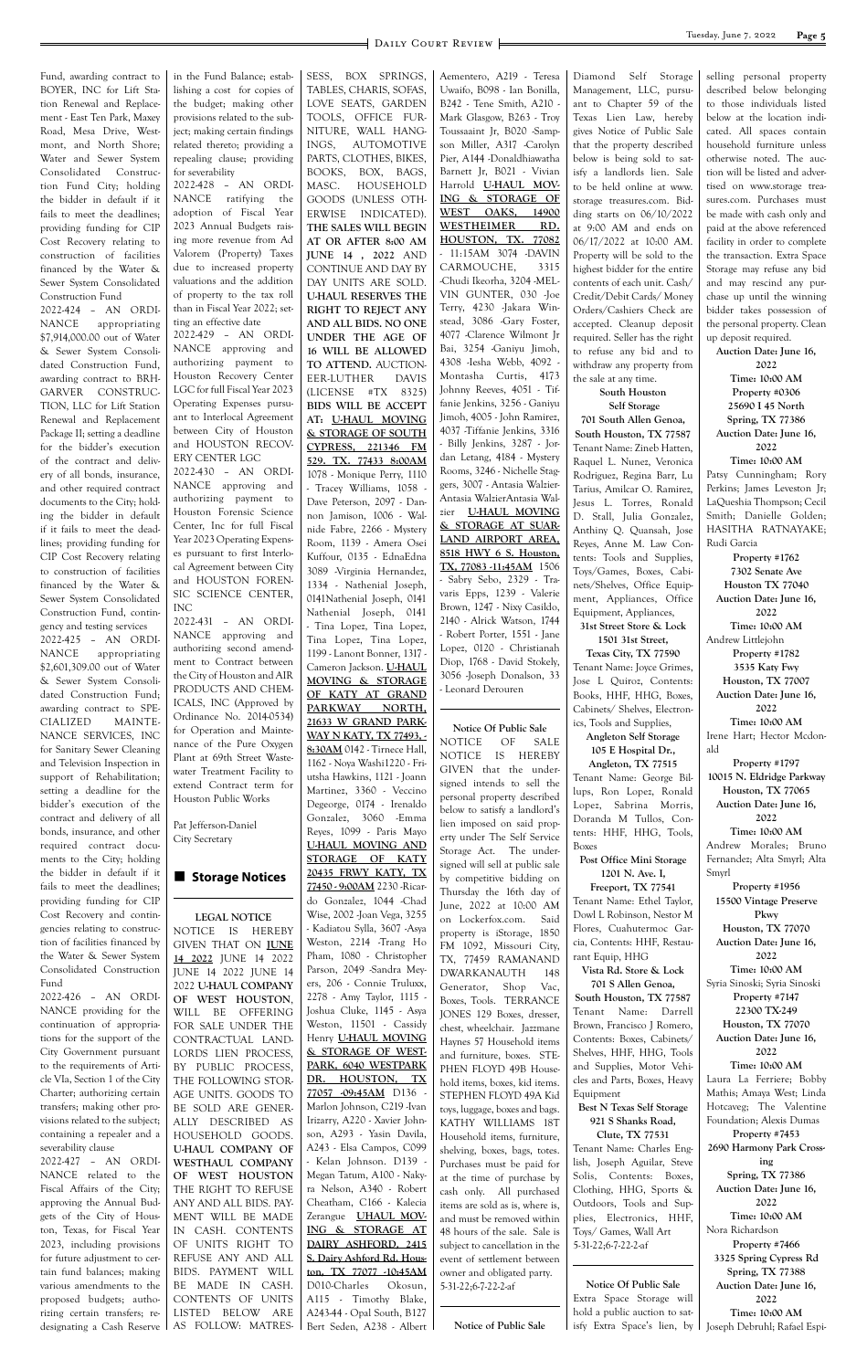**Page 5** DAILY COURT REVIEW

Fund, awarding contract to BOYER, INC for Lift Station Renewal and Replacement - East Ten Park, Maxey Road, Mesa Drive, Westmont, and North Shore; Water and Sewer System Consolidated Construction Fund City; holding the bidder in default if it fails to meet the deadlines; providing funding for CIP Cost Recovery relating to construction of facilities financed by the Water & Sewer System Consolidated Construction Fund

2022-424 – AN ORDI-NANCE appropriating \$7,914,000.00 out of Water & Sewer System Consolidated Construction Fund, awarding contract to BRH-GARVER CONSTRUC-TION, LLC for Lift Station Renewal and Replacement Package II; setting a deadline for the bidder's execution of the contract and delivery of all bonds, insurance, and other required contract documents to the City; holding the bidder in default if it fails to meet the deadlines; providing funding for CIP Cost Recovery relating to construction of facilities financed by the Water & Sewer System Consolidated Construction Fund, contingency and testing services

2022-425 – AN ORDI-NANCE appropriating \$2,601,309.00 out of Water & Sewer System Consolidated Construction Fund; awarding contract to SPE-CIALIZED MAINTE-NANCE SERVICES, INC for Sanitary Sewer Cleaning and Television Inspection in support of Rehabilitation; setting a deadline for the bidder's execution of the contract and delivery of all bonds, insurance, and other required contract documents to the City; holding the bidder in default if it fails to meet the deadlines; providing funding for CIP Cost Recovery and contingencies relating to construction of facilities financed by the Water & Sewer System Consolidated Construction Fund

2022-426 – AN ORDI-

NANCE providing for the continuation of appropriations for the support of the City Government pursuant to the requirements of Article VIa, Section 1 of the City Charter; authorizing certain transfers; making other provisions related to the subject; containing a repealer and a severability clause 2022-427 – AN ORDI-NANCE related to the Fiscal Affairs of the City; approving the Annual Budgets of the City of Houston, Texas, for Fiscal Year 2023, including provisions for future adjustment to certain fund balances; making various amendments to the proposed budgets; authorizing certain transfers; redesignating a Cash Reserve in the Fund Balance; establishing a cost for copies of the budget; making other provisions related to the subject; making certain findings related thereto; providing a repealing clause; providing for severability 2022-428 – AN ORDI-

NANCE ratifying the adoption of Fiscal Year 2023 Annual Budgets raising more revenue from Ad Valorem (Property) Taxes due to increased property valuations and the addition of property to the tax roll than in Fiscal Year 2022; setting an effective date

2022-429 – AN ORDI-NANCE approving and authorizing payment to Houston Recovery Center LGC for full Fiscal Year 2023 Operating Expenses pursuant to Interlocal Agreement between City of Houston and HOUSTON RECOV-ERY CENTER LGC 2022-430 – AN ORDI-NANCE approving and authorizing payment to

Houston Forensic Science Center, Inc for full Fiscal Year 2023 Operating Expenses pursuant to first Interlocal Agreement between City and HOUSTON FOREN-SIC SCIENCE CENTER, INC

2022-431 – AN ORDI-NANCE approving and authorizing second amendment to Contract between the City of Houston and AIR PRODUCTS AND CHEM-ICALS, INC (Approved by Ordinance No. 2014-0534) for Operation and Maintenance of the Pure Oxygen Plant at 69th Street Wastewater Treatment Facility to extend Contract term for Houston Public Works

Pat Jefferson-Daniel City Secretary

#### ■ Storage Notices

**LEGAL NOTICE** NOTICE IS HEREBY GIVEN THAT ON **JUNE 14 2022** JUNE 14 2022 JUNE 14 2022 JUNE 14 2022 **U-HAUL COMPANY OF WEST HOUSTON**, WILL BE OFFERING FOR SALE UNDER THE CONTRACTUAL LAND-LORDS LIEN PROCESS, BY PUBLIC PROCESS, THE FOLLOWING STOR-AGE UNITS. GOODS TO BE SOLD ARE GENER-ALLY DESCRIBED AS HOUSEHOLD GOODS. **U-HAUL COMPANY OF WESTHAUL COMPANY OF WEST HOUSTON** THE RIGHT TO REFUSE ANY AND ALL BIDS. PAY-MENT WILL BE MADE IN CASH. CONTENTS OF UNITS RIGHT TO REFUSE ANY AND ALL BIDS. PAYMENT WILL BE MADE IN CASH. CONTENTS OF UNITS LISTED BELOW ARE AS FOLLOW: MATRES-

SESS, BOX SPRINGS, TABLES, CHARIS, SOFAS, LOVE SEATS, GARDEN TOOLS, OFFICE FUR-NITURE, WALL HANG-INGS, AUTOMOTIVE PARTS, CLOTHES, BIKES, BOOKS, BOX, BAGS, MASC. HOUSEHOLD GOODS (UNLESS OTH-ERWISE INDICATED). **THE SALES WILL BEGIN AT OR AFTER 8:00 AM JUNE 14 , 2022** AND CONTINUE AND DAY BY DAY UNITS ARE SOLD. **U-HAUL RESERVES THE RIGHT TO REJECT ANY AND ALL BIDS. NO ONE UNDER THE AGE OF 16 WILL BE ALLOWED TO ATTEND.** AUCTION-EER-LUTHER DAVIS (LICENSE #TX 8325) **BIDS WILL BE ACCEPT AT: U-HAUL MOVING & STORAGE OF SOUTH CYPRESS, 221346 FM 529. TX. 77433 8:00AM** 1078 - Monique Perry, 1110 - Tracey Williams, 1058 - Dave Peterson, 2097 - Dannon Jamison, 1006 - Walnide Fabre, 2266 - Mystery Room, 1139 - Amera Osei Kuffour, 0135 - EdnaEdna 3089 -Virginia Hernandez, 1334 - Nathenial Joseph, 0141Nathenial Joseph, 0141 Nathenial Joseph, 0141 - Tina Lopez, Tina Lopez, Tina Lopez, Tina Lopez, 1199 - Lanont Bonner, 1317 - Cameron Jackson. **U-HAUL MOVING & STORAGE OF KATY AT GRAND**  PARKWAY NORTH, **21633 W GRAND PARK-WAY N KATY, TX 77493, - 8:30AM** 0142 - Tirnece Hall, 1162 - Noya Washi1220 - Friutsha Hawkins, 1121 - Joann Martinez, 3360 - Veccino Degeorge, 0174 - Irenaldo Gonzalez, 3060 -Emma Reyes, 1099 - Paris Mayo **U-HAUL MOVING AND STORAGE OF KATY 20435 FRWY KATY, TX 77450 - 9:00AM** 2230 -Ricardo Gonzalez, 1044 -Chad Wise, 2002 -Joan Vega, 3255 - Kadiatou Sylla, 3607 -Asya Weston, 2214 -Trang Ho Pham, 1080 - Christopher Parson, 2049 -Sandra Meyers, 206 - Connie Truluxx, 2278 - Amy Taylor, 1115 - Joshua Cluke, 1145 - Asya Weston, 11501 - Cassidy Henry **U-HAUL MOVING & STORAGE OF WEST-PARK, 6040 WESTPARK DR. HOUSTON, TX 77057 -09:45AM** D136 - Marlon Johnson, C219 -Ivan Irizarry, A220 - Xavier Johnson, A293 - Yasin Davila, A243 - Elsa Campos, C099 - Kelan Johnson. D139 - Megan Tatum, A100 - Nakyra Nelson, A340 - Robert Cheatham, C166 - Kalecia Zerangue **UHAUL MOV-ING & STORAGE AT DAIRY ASHFORD, 2415 S. Dairy Ashford Rd. Houston, TX 77077 -10:45AM** D010-Charles Okosun, A115 - Timothy Blake, A243-44 - Opal South, B127 Bert Seden, A238 - Albert

Aementero, A219 - Teresa Uwaifo, B098 - Ian Bonilla, B242 - Tene Smith, A210 - Mark Glasgow, B263 - Troy Toussaaint Jr, B020 -Sampson Miller, A317 -Carolyn Pier, A144 -Donaldhiawatha Barnett Jr, B021 - Vivian Harrold **U-HAUL MOV-ING & STORAGE OF WEST OAKS, 14900 WESTHEIMER RD. HOUSTON, TX. 77082** - 11:15AM 3074 -DAVIN CARMOUCHE, 3315 -Chudi Ikeorha, 3204 -MEL-VIN GUNTER, 030 -Joe Terry, 4230 -Jakara Winstead, 3086 -Gary Foster, 4077 -Clarence Wilmont Jr Bai, 3254 -Ganiyu Jimoh, 4308 -Iesha Webb, 4092 - Montasha Curtis, 4173 Johnny Reeves, 4051 - Tiffanie Jenkins, 3256 - Ganiyu Jimoh, 4005 - John Ramirez, 4037 -Tiffanie Jenkins, 3316 - Billy Jenkins, 3287 - Jordan Letang, 4184 - Mystery Rooms, 3246 - Nichelle Staggers, 3007 - Antasia Walzier-Antasia WalzierAntasia Walzier **U-HAUL MOVING & STORAGE AT SUAR-LAND AIRPORT AREA, 8518 HWY 6 S. Houston, TX, 77083 -11:45AM** 1506 - Sabry Sebo, 2329 - Travaris Epps, 1239 - Valerie Brown, 1247 - Nixy Casildo, 2140 - Alrick Watson, 1744 - Robert Porter, 1551 - Jane Lopez, 0120 - Christianah Diop, 1768 - David Stokely, 3056 -Joseph Donalson, 33 - Leonard Derouren **Notice Of Public Sale** NOTICE OF SALE NOTICE IS HEREBY GIVEN that the undersigned intends to sell the personal property described below to satisfy a landlord's lien imposed on said property under The Self Service Storage Act. The undersigned will sell at public sale by competitive bidding on Thursday the 16th day of June, 2022 at 10:00 AM

on Lockerfox.com. Said property is iStorage, 1850 FM 1092, Missouri City, TX, 77459 RAMANAND DWARKANAUTH 148 Generator, Shop Vac,

Boxes, Tools. TERRANCE JONES 129 Boxes, dresser, chest, wheelchair. Jazzmane Haynes 57 Household items and furniture, boxes. STE-PHEN FLOYD 49B Household items, boxes, kid items. STEPHEN FLOYD 49A Kid toys, luggage, boxes and bags. KATHY WILLIAMS 18T Household items, furniture, shelving, boxes, bags, totes. Purchases must be paid for at the time of purchase by cash only. All purchased items are sold as is, where is, and must be removed within 48 hours of the sale. Sale is subject to cancellation in the event of settlement between owner and obligated party. 5-31-22;6-7-22-2-af

**Notice of Public Sale**

Diamond Self Storage Management, LLC, pursuant to Chapter 59 of the Texas Lien Law, hereby gives Notice of Public Sale that the property described below is being sold to satisfy a landlords lien. Sale to be held online at www. storage treasures.com. Bidding starts on 06/10/2022 at 9:00 AM and ends on 06/17/2022 at 10:00 AM. Property will be sold to the highest bidder for the entire contents of each unit. Cash/ Credit/Debit Cards/ Money Orders/Cashiers Check are accepted. Cleanup deposit required. Seller has the right to refuse any bid and to withdraw any property from the sale at any time.

#### **South Houston Self Storage**

**701 South Allen Genoa, South Houston, TX 77587** Tenant Name: Zineb Hatten, Raquel L. Nunez, Veronica Rodriguez, Regina Barr, Lu Tarius, Amilcar O. Ramirez, Jesus L. Torres, Ronald D. Stall, Julia Gonzalez, Anthiny Q. Quansah, Jose Reyes, Anne M. Law Contents: Tools and Supplies, Toys/Games, Boxes, Cabinets/Shelves, Office Equipment, Appliances, Office Equipment, Appliances,

#### **31st Street Store & Lock 1501 31st Street,**

**Texas City, TX 77590** Tenant Name: Joyce Grimes, Jose L Quiroz, Contents: Books, HHF, HHG, Boxes, Cabinets/ Shelves, Electronics, Tools and Supplies, **Angleton Self Storage**

#### **105 E Hospital Dr., Angleton, TX 77515**

Tenant Name: George Billups, Ron Lopez, Ronald Lopez, Sabrina Morris, Doranda M Tullos, Contents: HHF, HHG, Tools, Boxes

#### **Post Office Mini Storage 1201 N. Ave. I,**

**Freeport, TX 77541** Tenant Name: Ethel Taylor, Dowl L Robinson, Nestor M Flores, Cuahutermoc Garcia, Contents: HHF, Restaurant Equip, HHG

**Vista Rd. Store & Lock 701 S Allen Genoa, South Houston, TX 77587** Tenant Name: Darrell Brown, Francisco J Romero, Contents: Boxes, Cabinets/ Shelves, HHF, HHG, Tools and Supplies, Motor Vehicles and Parts, Boxes, Heavy Equipment **Best N Texas Self Storage 921 S Shanks Road, Clute, TX 77531** Tenant Name: Charles English, Joseph Aguilar, Steve Solis, Contents: Boxes, Clothing, HHG, Sports & Outdoors, Tools and Supplies, Electronics, HHF, Toys/ Games, Wall Art 5-31-22;6-7-22-2-af

**Notice Of Public Sale** Extra Space Storage will hold a public auction to satisfy Extra Space's lien, by

selling personal property described below belonging to those individuals listed below at the location indicated. All spaces contain household furniture unless otherwise noted. The auction will be listed and advertised on www.storage treasures.com. Purchases must be made with cash only and paid at the above referenced facility in order to complete the transaction. Extra Space Storage may refuse any bid and may rescind any purchase up until the winning bidder takes possession of the personal property. Clean up deposit required.

**Auction Date: June 16, 2022 Time: 10:00 AM Property #0306 25690 I 45 North Spring, TX 77386 Auction Date: June 16, 2022 Time: 10:00 AM** Patsy Cunningham; Rory Perkins; James Leveston Jr; LaQueshia Thompson; Cecil Smith; Danielle Golden;

HASITHA RATNAYAKE; Rudi Garcia **Property #1762 7302 Senate Ave Houston TX 77040 Auction Date: June 16, 2022 Time: 10:00 AM** Andrew Littlejohn **Property #1782 3535 Katy Fwy Houston, TX 77007 Auction Date: June 16, 2022 Time: 10:00 AM** Irene Hart; Hector Mcdonald **Property #1797 10015 N. Eldridge Parkway Houston, TX 77065 Auction Date: June 16, 2022 Time: 10:00 AM** Andrew Morales; Bruno Fernandez; Alta Smyrl; Alta Smyrl

**Property #1956 15500 Vintage Preserve Pkwy Houston, TX 77070 Auction Date: June 16, 2022 Time: 10:00 AM** Syria Sinoski; Syria Sinoski **Property #7147**

**22300 TX-249 Houston, TX 77070 Auction Date: June 16, 2022 Time: 10:00 AM** Laura La Ferriere; Bobby Mathis; Amaya West; Linda Hotcaveg; The Valentine Foundation; Alexis Dumas **Property #7453 2690 Harmony Park Crossing Spring, TX 77386 Auction Date: June 16, 2022 Time: 10:00 AM** Nora Richardson **Property #7466 3325 Spring Cypress Rd Spring, TX 77388 Auction Date: June 16, 2022 Time: 10:00 AM** Joseph Debruhl; Rafael Espi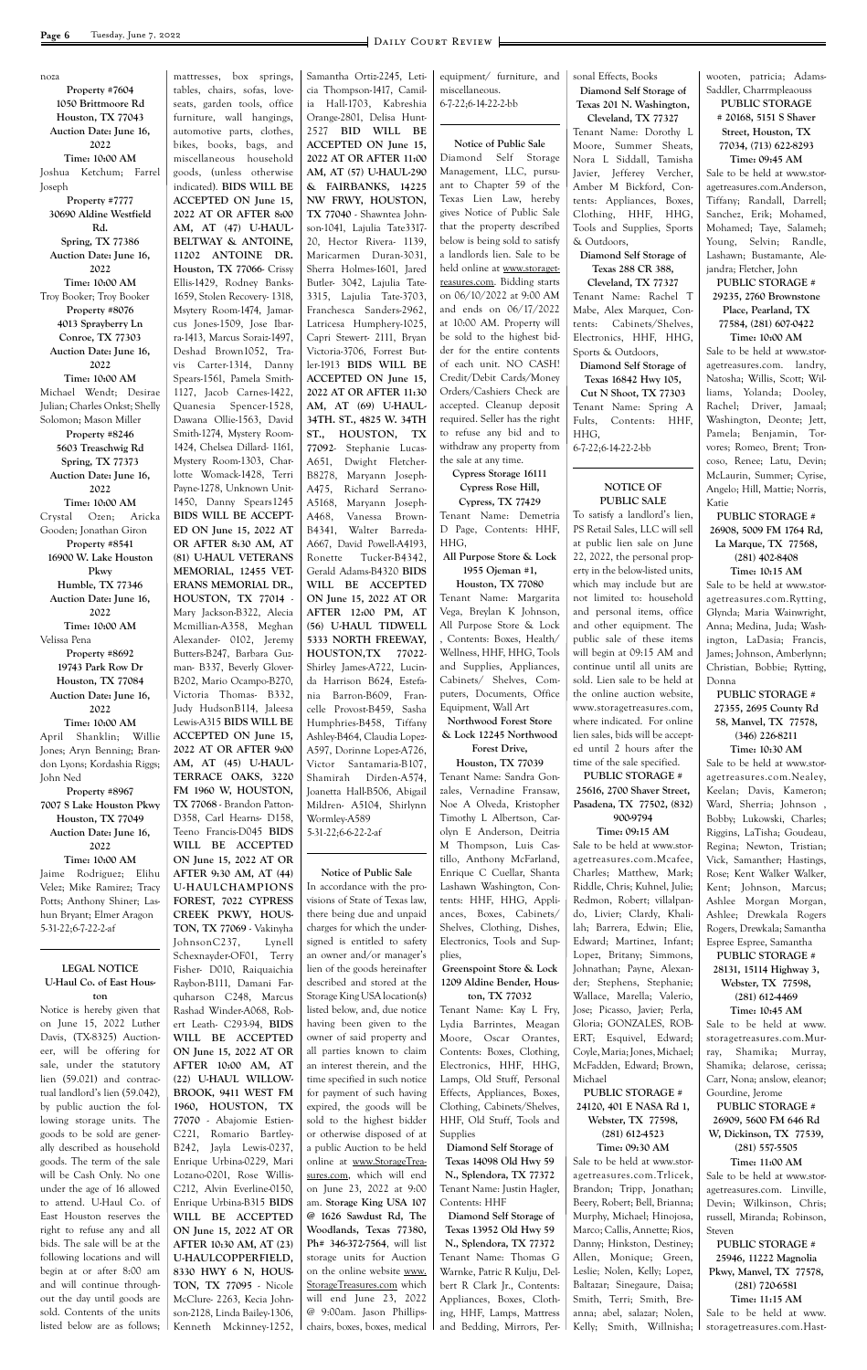noza

**Property #7604**

**1050 Brittmoore Rd Houston, TX 77043 Auction Date: June 16, 2022 Time: 10:00 AM** Joshua Ketchum; Farrel Joseph **Property #7777 30690 Aldine Westfield Rd. Spring, TX 77386 Auction Date: June 16, 2022 Time: 10:00 AM** Troy Booker; Troy Booker **Property #8076 4013 Sprayberry Ln Conroe, TX 77303 Auction Date: June 16, 2022 Time: 10:00 AM** Michael Wendt; Desirae Julian; Charles Onkst; Shelly Solomon; Mason Miller **Property #8246 5603 Treaschwig Rd Spring, TX 77373 Auction Date: June 16, 2022 Time: 10:00 AM** Crystal Ozen; Aricka Gooden; Jonathan Giron **Property #8541 16900 W. Lake Houston Pkwy Humble, TX 77346 Auction Date: June 16, 2022 Time: 10:00 AM** Velissa Pena **Property #8692 19743 Park Row Dr Houston, TX 77084 Auction Date: June 16, 2022 Time: 10:00 AM** April Shanklin; Willie Jones; Aryn Benning; Brandon Lyons; Kordashia Riggs; John Ned **Property #8967 7007 S Lake Houston Pkwy Houston, TX 77049 Auction Date: June 16, 2022 Time: 10:00 AM** Jaime Rodriguez; Elihu Velez; Mike Ramirez; Tracy Potts; Anthony Shiner; Lashun Bryant; Elmer Aragon 5-31-22;6-7-22-2-af **LEGAL NOTICE**

mattresses, box springs, tables, chairs, sofas, loveseats, garden tools, office furniture, wall hangings, automotive parts, clothes, bikes, books, bags, and miscellaneous household goods, (unless otherwise indicated). **BIDS WILL BE ACCEPTED ON June 15, 2022 AT OR AFTER 8:00 AM, AT (47) U-HAUL-BELTWAY & ANTOINE, 11202 ANTOINE DR. Houston, TX 77066**- Crissy Ellis-1429, Rodney Banks-1659, Stolen Recovery- 1318, Msytery Room-1474, Jamarcus Jones-1509, Jose Ibarra-1413, Marcus Soraiz-1497, Deshad Brown1052, Travis Carter-1314, Danny Spears-1561, Pamela Smith-1127, Jacob Carnes-1422, Quanesia Spencer-1528, Dawana Ollie-1563, David Smith-1274, Mystery Room-1424, Chelsea Dillard- 1161, Mystery Room-1303, Charlotte Womack-1428, Terri Payne-1278, Unknown Unit-1450, Danny Spears1245 **BIDS WILL BE ACCEPT-ED ON June 15, 2022 AT OR AFTER 8:30 AM, AT (81) U-HAUL VETERANS MEMORIAL, 12455 VET-ERANS MEMORIAL DR., HOUSTON, TX 77014** - Mary Jackson-B322, Alecia Mcmillian-A358, Meghan Alexander- 0102, Jeremy Butters-B247, Barbara Guzman- B337, Beverly Glover-B202, Mario Ocampo-B270, Victoria Thomas- B332, Judy HudsonB114, Jaleesa Lewis-A315 **BIDS WILL BE ACCEPTED ON June 15, 2022 AT OR AFTER 9:00 AM, AT (45) U-HAUL-TERRACE OAKS, 3220 FM 1960 W, HOUSTON, TX 77068** - Brandon Patton-D358, Carl Hearns- D158, Teeno Francis-D045 **BIDS WILL BE ACCEPTED ON June 15, 2022 AT OR AFTER 9:30 AM, AT (44) U-HAULCHAMPIONS FOREST, 7022 CYPRESS CREEK PKWY, HOUS-TON, TX 77069** - Vakinyha JohnsonC237, Lynell Schexnayder-OF01, Terry Fisher- D010, Raiquaichia Raybon-B111, Damani Far $q$ uharson  $C248$ , Marque

**U-Haul Co. of East Houston**

In accordance with the provisions of State of Texas law, there being due and unpaid charges for which the undersigned is entitled to safety an owner and/or manager's lien of the goods hereinafter described and stored at the Storage King USA location(s)

Samantha Ortiz-2245, Leticia Thompson-1417, Camilia Hall-1703, Kabreshia Orange-2801, Delisa Hunt-2527 **BID WILL BE ACCEPTED ON June 15, 2022 AT OR AFTER 11:00 AM, AT (57) U-HAUL-290 & FAIRBANKS, 14225 NW FRWY, HOUSTON, TX 77040** - Shawntea Johnson-1041, Lajulia Tate3317- 20, Hector Rivera- 1139, Maricarmen Duran-3031, Sherra Holmes-1601, Jared Butler- 3042, Lajulia Tate-3315, Lajulia Tate-3703, Franchesca Sanders-2962, Latricesa Humphery-1025, Capri Stewert- 2111, Bryan Victoria-3706, Forrest Butler-1913 **BIDS WILL BE ACCEPTED ON June 15, 2022 AT OR AFTER 11:30 AM, AT (69) U-HAUL-34TH. ST., 4825 W. 34TH ST., HOUSTON, TX 77092**- Stephanie Lucas-A651, Dwight Fletcher-B8278, Maryann Joseph-A475, Richard Serrano-A5168, Maryann Joseph-A468, Vanessa Brown-B4341, Walter Barreda-A667, David Powell-A4193, Ronette Tucker-B4342, Gerald Adams-B4320 **BIDS WILL BE ACCEPTED ON June 15, 2022 AT OR AFTER 12:00 PM, AT (56) U-HAUL TIDWELL 5333 NORTH FREEWAY, HOUSTON,TX 77022**- Shirley James-A722, Lucinda Harrison B624, Estefania Barron-B609, Francelle Provost-B459, Sasha Humphries-B458, Tiffany Ashley-B464, Claudia Lopez-A597, Dorinne Lopez-A726, Victor Santamaria-B107, Shamirah Dirden-A574, Joanetta Hall-B506, Abigail Mildren- A5104, Shirlynn Wormley-A589 5-31-22;6-6-22-2-af

#### **Notice of Public Sale**

equipment/ furniture, and miscellaneous. 6-7-22;6-14-22-2-bb

**Notice of Public Sale** Diamond Self Storage Management, LLC, pursuant to Chapter 59 of the Texas Lien Law, hereby gives Notice of Public Sale that the property described below is being sold to satisfy a landlords lien. Sale to be held online at www.storagetreasures.com. Bidding starts on 06/10/2022 at 9:00 AM and ends on 06/17/2022 at 10:00 AM. Property will be sold to the highest bidder for the entire contents of each unit. NO CASH! Credit/Debit Cards/Money Orders/Cashiers Check are accepted. Cleanup deposit required. Seller has the right to refuse any bid and to withdraw any property from the sale at any time.

|                                | $q$ unarson $Q_{\mu}$ respectively |                                |                              | $\ldots$                      | $(401)$ $014$ $1102$         |
|--------------------------------|------------------------------------|--------------------------------|------------------------------|-------------------------------|------------------------------|
| Notice is hereby given that    | Rashad Winder-A068, Rob-           | listed below, and, due notice  | Tenant Name: Kay L Fry,      | Jose; Picasso, Javier; Perla, | Time: 10:45 AM               |
| on June 15, 2022 Luther        | ert Leath- C293-94, BIDS           | having been given to the       | Lydia Barrintes, Meagan      | Gloria; GONZALES, ROB-        | Sale to be held at www.      |
| Davis, (TX-8325) Auction-      | WILL BE ACCEPTED                   | owner of said property and     | Moore, Oscar Orantes,        | ERT; Esquivel, Edward;        | storagetreasures.com.Mur-    |
| eer, will be offering for      | ON June 15, 2022 AT OR             | all parties known to claim     | Contents: Boxes, Clothing,   | Coyle, Maria; Jones, Michael; | Shamika; Murray,<br>ray,     |
| sale, under the statutory      | AFTER 10:00 AM, AT                 | an interest therein, and the   | Electronics, HHF, HHG,       | McFadden, Edward; Brown,      | Shamika; delarose, cerissa;  |
| lien (59.021) and contrac-     | (22) U-HAUL WILLOW-                | time specified in such notice  | Lamps, Old Stuff, Personal   | Michael                       | Carr, Nona; anslow, eleanor; |
| tual landlord's lien (59.042), | BROOK, 9411 WEST FM                | for payment of such having     | Effects, Appliances, Boxes,  | <b>PUBLIC STORAGE #</b>       | Gourdine, Jerome             |
| by public auction the fol-     | 1960, HOUSTON, TX                  | expired, the goods will be     | Clothing, Cabinets/Shelves,  | 24120, 401 E NASA Rd 1,       | <b>PUBLIC STORAGE #</b>      |
| lowing storage units. The      | 77070 - Abajomie Estien-           | sold to the highest bidder     | HHF, Old Stuff, Tools and    | Webster, TX 77598,            | 26909, 5600 FM 646 Rd        |
| goods to be sold are gener-    | C221, Romario Bartley-             | or otherwise disposed of at    | <b>Supplies</b>              | $(281)$ 612-4523              | W, Dickinson, TX 77539,      |
| ally described as household    | B242, Jayla Lewis-0237,            | a public Auction to be held    | Diamond Self Storage of      | Time: 09:30 AM                | $(281)$ 557-5505             |
| goods. The term of the sale    | Enrique Urbina-0229, Mari          | online at www.StorageTrea-     | Texas 14098 Old Hwy 59       | Sale to be held at www.stor-  | Time: 11:00 AM               |
| will be Cash Only. No one      | Lozano-0201, Rose Willis-          | sures.com, which will end      | N., Splendora, TX 77372      | agetreasures.com.Trlicek,     | Sale to be held at www.stor- |
| under the age of 16 allowed    | C212, Alvin Everline-0150,         | on June 23, 2022 at 9:00       | Tenant Name: Justin Hagler,  | Brandon; Tripp, Jonathan;     | agetreasures.com. Linville,  |
| to attend. U-Haul Co. of       | Enrique Urbina-B315 BIDS           | am. Storage King USA 107       | Contents: HHF                | Beery, Robert; Bell, Brianna; | Devin; Wilkinson, Chris;     |
| East Houston reserves the      | WILL BE ACCEPTED                   | @ 1626 Sawdust Rd, The         | Diamond Self Storage of      | Murphy, Michael; Hinojosa,    | russell, Miranda; Robinson,  |
| right to refuse any and all    | ON June 15, 2022 AT OR             | Woodlands, Texas 77380,        | Texas 13952 Old Hwy 59       | Marco; Callis, Annette; Rios, | Steven                       |
| bids. The sale will be at the  | AFTER 10:30 AM, AT (23)            | $Ph# 346-372-7564$ , will list | N., Splendora, TX 77372      | Danny; Hinkston, Destiney;    | <b>PUBLIC STORAGE #</b>      |
| following locations and will   | U-HAULCOPPERFIELD,                 | storage units for Auction      | Tenant Name: Thomas G        | Allen, Monique; Green,        | 25946, 11222 Magnolia        |
| begin at or after 8:00 am      | 8330 HWY 6 N, HOUS-                | on the online website www.     | Warnke, Patric R Kulju, Del- | Leslie; Nolen, Kelly; Lopez,  | Pkwy, Manvel, TX 77578,      |
| and will continue through-     | <b>TON, TX 77095</b> - Nicole      | StorageTreasures.com which     | bert R Clark Jr., Contents:  | Baltazar; Sinegaure, Daisa;   | $(281)$ 720-6581             |
| out the day until goods are    | McClure-2263, Kecia John-          | will end June 23, 2022         | Appliances, Boxes, Cloth-    | Smith, Terri; Smith, Bre-     | Time: 11:15 AM               |
| sold. Contents of the units    | son-2128, Linda Bailey-1306,       | @ 9:00am. Jason Phillips-      | ing, HHF, Lamps, Mattress    | anna; abel, salazar; Nolen,   | Sale to be held at www.      |
| listed below are as follows; I | Kenneth Mckinney-1252,             | chairs, boxes, boxes, medical  | and Bedding, Mirrors, Per-   | Kelly; Smith, Willnisha;      | storagetreasures.com.Hast-   |

**Cypress Storage 16111 Cypress Rose Hill,**

**Cypress, TX 77429** Tenant Name: Demetria D Page, Contents: HHF, HHG,

**All Purpose Store & Lock 1955 Ojeman #1,**

**Houston, TX 77080** Tenant Name: Margarita Vega, Breylan K Johnson, All Purpose Store & Lock , Contents: Boxes, Health/ Wellness, HHF, HHG, Tools and Supplies, Appliances, Cabinets/ Shelves, Computers, Documents, Office Equipment, Wall Art **Northwood Forest Store** 

**& Lock 12245 Northwood Forest Drive,**

**Houston, TX 77039** Tenant Name: Sandra Gonzales, Vernadine Fransaw, Noe A Olveda, Kristopher Timothy L Albertson, Carolyn E Anderson, Deitria M Thompson, Luis Castillo, Anthony McFarland, Enrique C Cuellar, Shanta Lashawn Washington, Contents: HHF, HHG, Appliances, Boxes, Cabinets/ Shelves, Clothing, Dishes, Electronics, Tools and Sup-

plies, **Greenspoint Store & Lock 1209 Aldine Bender, Hous-**

**ton, TX 77032**

sonal Effects, Books **Diamond Self Storage of Texas 201 N. Washington,** 

**Cleveland, TX 77327** Tenant Name: Dorothy L Moore, Summer Sheats, Nora L Siddall, Tamisha Javier, Jefferey Vercher, Amber M Bickford, Contents: Appliances, Boxes, Clothing, HHF, HHG, Tools and Supplies, Sports & Outdoors,

**Diamond Self Storage of Texas 288 CR 388,**

**Cleveland, TX 77327** Tenant Name: Rachel T Mabe, Alex Marquez, Contents: Cabinets/Shelves, Electronics, HHF, HHG, Sports & Outdoors,

**Diamond Self Storage of Texas 16842 Hwy 105, Cut N Shoot, TX 77303** Tenant Name: Spring A Fults, Contents: HHF, HHG,

6-7-22;6-14-22-2-bb

#### **NOTICE OF PUBLIC SALE**

To satisfy a landlord's lien, PS Retail Sales, LLC will sell at public lien sale on June 22, 2022, the personal property in the below-listed units, which may include but are not limited to: household and personal items, office and other equipment. The public sale of these items will begin at 09:15 AM and continue until all units are sold. Lien sale to be held at the online auction website, www.storagetreasures.com, where indicated. For online lien sales, bids will be accepted until 2 hours after the time of the sale specified.

**PUBLIC STORAGE # 25616, 2700 Shaver Street, Pasadena, TX 77502, (832) 900-9794**

## **Time: 09:15 AM**

Sale to be held at www.storagetreasures.com.Mcafee, Charles; Matthew, Mark; Riddle, Chris; Kuhnel, Julie; Redmon, Robert; villalpando, Livier; Clardy, Khalilah; Barrera, Edwin; Elie, Edward; Martinez, Infant; Lopez, Britany; Simmons, Johnathan; Payne, Alexander; Stephens, Stephanie; Wallace, Marella; Valerio, wooten, patricia; Adams-Saddler, Charrmpleaouss

#### **PUBLIC STORAGE # 20168, 5151 S Shaver Street, Houston, TX 77034, (713) 622-8293**

**Time: 09:45 AM** Sale to be held at www.storagetreasures.com.Anderson, Tiffany; Randall, Darrell; Sanchez, Erik; Mohamed, Mohamed; Taye, Salameh; Young, Selvin; Randle, Lashawn; Bustamante, Alejandra; Fletcher, John

#### **PUBLIC STORAGE # 29235, 2760 Brownstone Place, Pearland, TX 77584, (281) 607-0422 Time: 10:00 AM**

Sale to be held at www.storagetreasures.com. landry, Natosha; Willis, Scott; Williams, Yolanda; Dooley, Rachel; Driver, Jamaal; Washington, Deonte; Jett, Pamela; Benjamin, Torvores; Romeo, Brent; Troncoso, Renee; Latu, Devin; McLaurin, Summer; Cyrise, Angelo; Hill, Mattie; Norris, Katie

#### **PUBLIC STORAGE # 26908, 5009 FM 1764 Rd, La Marque, TX 77568, (281) 402-8408**

**Time: 10:15 AM** Sale to be held at www.stor-

agetreasures.com.Rytting, Glynda; Maria Wainwright, Anna; Medina, Juda; Washington, LaDasia; Francis, James; Johnson, Amberlynn; Christian, Bobbie; Rytting, Donna

#### **PUBLIC STORAGE # 27355, 2695 County Rd 58, Manvel, TX 77578, (346) 226-8211 Time: 10:30 AM**

Sale to be held at www.storagetreasures.com.Nealey, Keelan; Davis, Kameron; Ward, Sherria; Johnson , Bobby; Lukowski, Charles; Riggins, LaTisha; Goudeau, Regina; Newton, Tristian; Vick, Samanther; Hastings, Rose; Kent Walker Walker, Kent; Johnson, Marcus; Ashlee Morgan Morgan, Ashlee; Drewkala Rogers Rogers, Drewkala; Samantha Espree Espree, Samantha

**PUBLIC STORAGE # 28131, 15114 Highway 3, Webster, TX 77598, (281) 612-4469**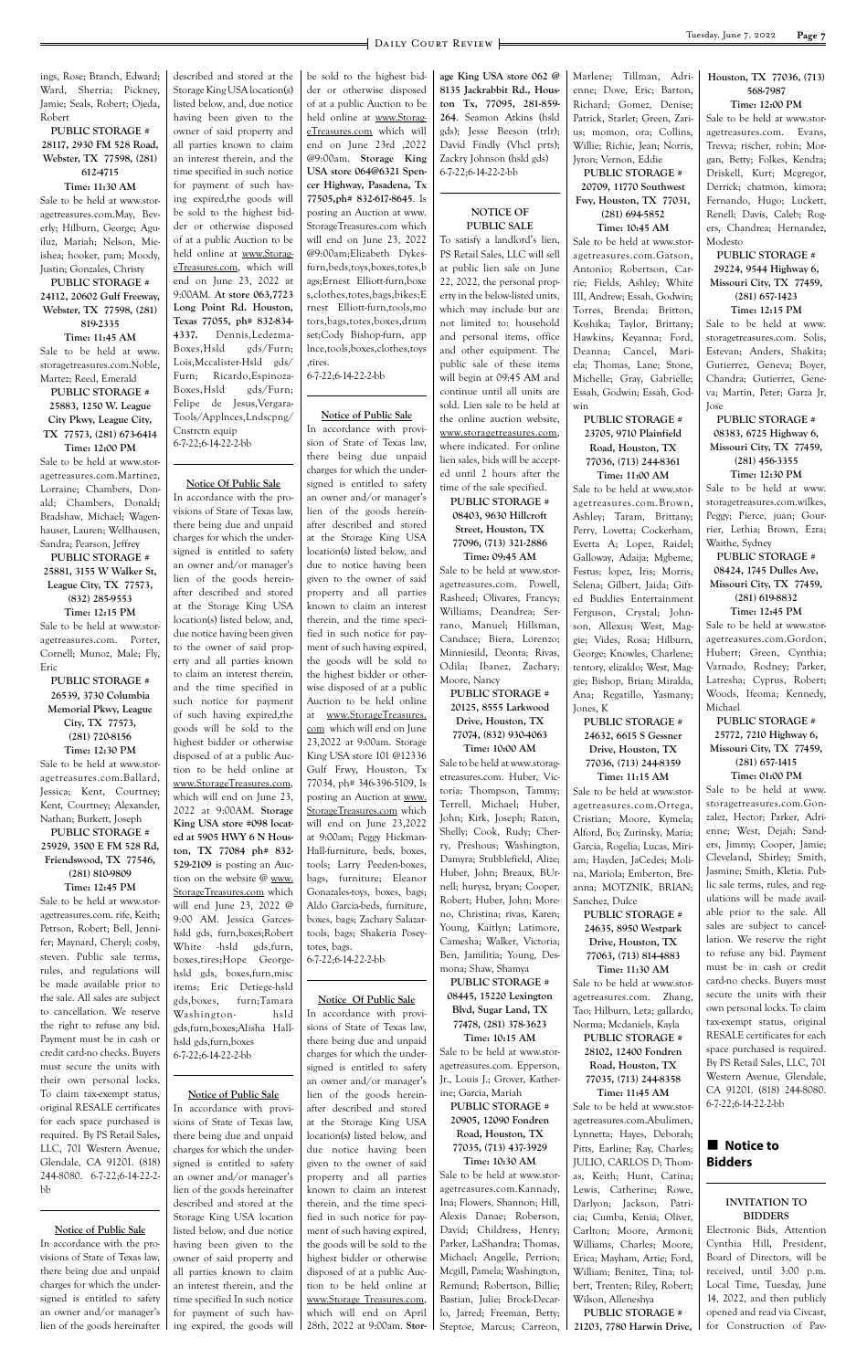ings, Rose; Branch, Edward; Ward, Sherria; Pickney, Jamie; Seals, Robert; Ojeda, Robert

#### **PUBLIC STORAGE # 28117, 2930 FM 528 Road, Webster, TX 77598, (281) 612-4715 Time: 11:30 AM**

Sale to be held at www.storagetreasures.com.May, Beverly; Hilburn, George; Aguiluz, Mariah; Nelson, Mieishea; hooker, pam; Moody, Justin; Gonzales, Christy

**PUBLIC STORAGE # 24112, 20602 Gulf Freeway, Webster, TX 77598, (281) 819-2335 Time: 11:45 AM** Sale to be held at www.

storagetreasures.com.Noble, Martez; Reed, Emerald **PUBLIC STORAGE # 25883, 1250 W. League** 

**City Pkwy, League City, TX 77573, (281) 673-6414 Time: 12:00 PM**

Sale to be held at www.storagetreasures.com.Martinez, Lorraine; Chambers, Donald; Chambers, Donald; Bradshaw, Michael; Wagenhauser, Lauren; Wellhausen, Sandra; Pearson, Jeffrey

**PUBLIC STORAGE # 25881, 3155 W Walker St, League City, TX 77573, (832) 285-9553 Time: 12:15 PM**

Sale to be held at www.storagetreasures.com. Porter, Cornell; Munoz, Male; Fly, Eric

**PUBLIC STORAGE # 26539, 3730 Columbia Memorial Pkwy, League City, TX 77573, (281) 720-8156 Time: 12:30 PM** Sale to be held at www.stor-

agetreasures.com.Ballard, Jessica; Kent, Courtney; Kent, Courtney; Alexander, Nathan; Burkett, Joseph

#### **PUBLIC STORAGE # 25929, 3500 E FM 528 Rd, Friendswood, TX 77546, (281) 810-9809 Time: 12:45 PM**

Sale to be held at www.storagetreasures.com. rife, Keith; Petrson, Robert; Bell, Jennifer; Maynard, Cheryl; cosby, steven. Public sale terms, rules, and regulations will be made available prior to the sale. All sales are subject

to cancellation. We reserve the right to refuse any bid. Payment must be in cash or credit card-no checks. Buyers must secure the units with their own personal locks. To claim tax-exempt status, original RESALE certificates for each space purchased is required. By PS Retail Sales, LLC, 701 Western Avenue, Glendale, CA 91201. (818) 244-8080. 6-7-22;6-14-22-2 bb

#### **Notice of Public Sale** In accordance with the provisions of State of Texas law, there being due and unpaid charges for which the undersigned is entitled to safety an owner and/or manager's lien of the goods hereinafter

described and stored at the Storage King USA location(s) listed below, and, due notice having been given to the owner of said property and all parties known to claim an interest therein, and the time specified in such notice for payment of such having expired,the goods will be sold to the highest bidder or otherwise disposed of at a public Auction to be held online at www.StorageTreasures.com, which will end on June 23, 2022 at 9:00AM. **At store 063,7723 Long Point Rd. Houston, Texas 77055, ph# 832-834- 4337.** Dennis,Ledezma-Boxes,Hsld gds/Furn; Lois,Mccalister-Hsld gds/ Furn; Ricardo,Espinoza-Boxes,Hsld gds/Furn; Felipe de Jesus,Vergara-Tools/Applnces,Lndscpng/ Cnstrctn equip 6-7-22;6-14-22-2-bb

**Notice Of Public Sale**

In accordance with the provisions of State of Texas law, there being due and unpaid charges for which the undersigned is entitled to safety an owner and/or manager's lien of the goods hereinafter described and stored at the Storage King USA location(s) listed below, and, due notice having been given to the owner of said property and all parties known to claim an interest therein, and the time specified in such notice for payment of such having expired,the goods will be sold to the highest bidder or otherwise disposed of at a public Auction to be held online at www.StorageTreasures.com, which will end on June 23, 2022 at 9:00AM. **Storage King USA store #098 located at 5905 HWY 6 N Houston, TX 77084 ph# 832- 529-2109** is posting an Auction on the website @ www. StorageTreasures.com which will end June 23, 2022 @ 9:00 AM. Jessica Garceshsld gds, furn,boxes;Robert White -hsld gds,furn, boxes,tires;Hope Georgehsld gds, boxes,furn,misc items; Eric Detiege-hsld gds,boxes, furn;Tamara Washington- hsld gds,furn,boxes;Alisha Hallhsld gds,furn,boxes 6-7-22;6-14-22-2-bb

**Notice of Public Sale** In accordance with provisions of State of Texas law, there being due and unpaid charges for which the undersigned is entitled to safety an owner and/or manager's lien of the goods hereinafter described and stored at the Storage King USA location listed below, and due notice having been given to the owner of said property and all parties known to claim an interest therein, and the time specified In such notice for payment of such having expired, the goods will

be sold to the highest bidder or otherwise disposed of at a public Auction to be held online at www.StorageTreasures.com which will end on June 23rd ,2022 @9:00am. **Storage King USA store 064@6321 Spencer Highway, Pasadena, Tx 77505,ph# 832-617-8645**. Is posting an Auction at www. StorageTreasures.com which will end on June 23, 2022 @9:00am;Elizabeth Dykesfurn,beds,toys,boxes,totes,b ags;Ernest Elliott-furn,boxe s,clothes,totes,bags,bikes;E rnest Elliott-furn,tools,mo tors,bags,totes,boxes,drum set;Cody Bishop-furn, app lnce,tools,boxes,clothes,toys ,tires.

#### 6-7-22;6-14-22-2-bb

#### **Notice of Public Sale**

In accordance with provision of State of Texas law, there being due unpaid charges for which the undersigned is entitled to safety an owner and/or manager's lien of the goods hereinafter described and stored at the Storage King USA location(s) listed below, and due to notice having been given to the owner of said property and all parties known to claim an interest therein, and the time specified in such notice for payment of such having expired, the goods will be sold to the highest bidder or otherwise disposed of at a public Auction to be held online at www.StorageTreasures. com which will end on June 23,2022 at 9:00am. Storage King USA store 101 @12336 Gulf Frwy, Houston, Tx 77034, ph# 346-396-5109, Is posting an Auction at www. StorageTreasures.com which will end on June 23,2022 at 9:00am; Peggy Hickman-Hall-furniture, beds, boxes, tools; Larry Peeden-boxes, bags, furniture; Eleanor Gonazales-toys, boxes, bags; Aldo Garcia-beds, furniture, boxes, bags; Zachary Salazartools, bags; Shakeria Poseytotes, bags. 6-7-22;6-14-22-2-bb

#### **Notice Of Public Sale**

In accordance with provisions of State of Texas law, there being due and unpaid charges for which the undersigned is entitled to safety an owner and/or manager's lien of the goods hereinafter described and stored at the Storage King USA location(s) listed below, and due notice having been given to the owner of said property and all parties known to claim an interest therein, and the time specified in such notice for payment of such having expired, the goods will be sold to the highest bidder or otherwise disposed of at a public Auction to be held online at www.Storage Treasures.com, which will end on April 28th, 2022 at 9:00am. **Stor-**

### $\blacksquare$  Notice to **Bidders**

**age King USA store 062 @ 8135 Jackrabbit Rd., Houston Tx, 77095, 281-859- 264**. Seamon Atkins (hsld gds); Jesse Beeson (trlr); David Findly (Vhcl prts); Zackry Johnson (hsld gds) 6-7-22;6-14-22-2-bb

#### **NOTICE OF PUBLIC SALE**

To satisfy a landlord's lien, PS Retail Sales, LLC will sell at public lien sale on June 22, 2022, the personal property in the below-listed units, which may include but are not limited to: household and personal items, office and other equipment. The public sale of these items will begin at 09:45 AM and continue until all units are sold. Lien sale to be held at the online auction website, www.storagetreasures.com, where indicated. For online lien sales, bids will be accepted until 2 hours after the time of the sale specified.

**PUBLIC STORAGE # 08403, 9630 Hillcroft Street, Houston, TX 77096, (713) 321-2886 Time: 09:45 AM**

Sale to be held at www.storagetreasures.com. Powell, Rasheed; Olivares, Francys; Williams, Deandrea; Serrano, Manuel; Hillsman, Candace; Biera, Lorenzo; Minniesild, Deonta; Rivas, Odila; Ibanez, Zachary; Moore, Nancy

**PUBLIC STORAGE # 20125, 8555 Larkwood Drive, Houston, TX 77074, (832) 930-4063**

**Time: 10:00 AM** Sale to be held at www.storagetreasures.com. Huber, Victoria; Thompson, Tammy; Terrell, Michael; Huber, John; Kirk, Joseph; Razon, Shelly; Cook, Rudy; Cherry, Preshous; Washington, Damyra; Stubblefield, Alize; Huber, John; Breaux, BUrnell; hurysz, bryan; Cooper, Robert; Huber, John; Moreno, Christina; rivas, Karen; Young, Kaitlyn; Latimore, Camesha; Walker, Victoria; Ben, Jamilitia; Young, Desmona; Shaw, Shamya

**PUBLIC STORAGE # 08445, 15220 Lexington Blvd, Sugar Land, TX 77478, (281) 378-3623 Time: 10:15 AM** Sale to be held at www.storagetreasures.com. Epperson, Jr., Louis J.; Grover, Katherine; Garcia, Mariah **PUBLIC STORAGE # 20905, 12090 Fondren Road, Houston, TX 77035, (713) 437-3929 Time: 10:30 AM** Sale to be held at www.storagetreasures.com.Kannady, Ina; Flowers, Shannon; Hill, Alexis Danae; Roberson, David; Childress, Henry; Parker, LaShandra; Thomas, Michael; Angelle, Perrion; Mcgill, Pamela; Washington, Remund; Robertson, Billie; Bastian, Julie; Brock-Decarlo, Jarred; Freeman, Betty; Steptoe, Marcus; Carreon,

Marlene; Tillman, Adrienne; Dove, Eric; Barton, Richard; Gomez, Denise; Patrick, Starlet; Green, Zarius; momon, ora; Collins, Willie; Richie, Jean; Norris, Jyron; Vernon, Eddie **PUBLIC STORAGE # 20709, 11770 Southwest** 

**Fwy, Houston, TX 77031, (281) 694-5852 Time: 10:45 AM**

Sale to be held at www.storagetreasures.com.Gatson, Antonio; Robertson, Carrie; Fields, Ashley; White III, Andrew; Essah, Godwin; Torres, Brenda; Britton, Koshika; Taylor, Brittany; Hawkins, Keyanna; Ford, Deanna; Cancel, Mariela; Thomas, Lane; Stone, Michelle; Gray, Gabrielle; Essah, Godwin; Essah, Godwin

#### **PUBLIC STORAGE # 23705, 9710 Plainfield Road, Houston, TX 77036, (713) 244-8361 Time: 11:00 AM**

Sale to be held at www.storagetreasures.com.Brown, Ashley; Taram, Brittany; Perry, Lovetta; Cockerham, Evetta A; Lopez, Raidel; Galloway, Adaija; Mgbeme, Festus; lopez, Iris; Morris, Selena; Gilbert, Jaida; Gifted Buddies Entertainment Ferguson, Crystal; Johnson, Allexus; West, Maggie; Vides, Rosa; Hilburn, George; Knowles, Charlene; tentory, elizaldo; West, Maggie; Bishop, Brian; Miralda, Ana; Regatillo, Yasmany; Jones, K

#### **PUBLIC STORAGE # 24632, 6615 S Gessner Drive, Houston, TX 77036, (713) 244-8359**

**Time: 11:15 AM** Sale to be held at www.storagetreasures.com.Ortega, Cristian; Moore, Kymela; Alford, Bo; Zurinsky, Maria; Garcia, Rogelia; Lucas, Miriam; Hayden, JaCedes; Molina, Mariola; Emberton, Breanna; MOTZNIK, BRIAN; Sanchez, Dulce

#### **PUBLIC STORAGE # 24635, 8950 Westpark Drive, Houston, TX 77063, (713) 814-4883 Time: 11:30 AM**

Sale to be held at www.storagetreasures.com. Zhang, Tao; Hilburn, Leta; gallardo, Norma; Mcdaniels, Kayla **PUBLIC STORAGE # 28102, 12400 Fondren Road, Houston, TX 77035, (713) 244-8358 Time: 11:45 AM** Sale to be held at www.storagetreasures.com.Abulimen, Lynnetta; Hayes, Deborah; Pitts, Earline; Ray, Charles; JULIO, CARLOS D; Thomas, Keith; Hunt, Catina; Lewis, Catherine; Rowe, Darlyon; Jackson, Patricia; Cumba, Kenia; Oliver, Carlton; Moore, Armoni; Williams, Charles; Moore, Erica; Mayham, Artie; Ford, William; Benitez, Tina; tolbert, Trenten; Riley, Robert; Wilson, Alleneshya **PUBLIC STORAGE # 21203, 7780 Harwin Drive,** 

#### **Houston, TX 77036, (713) 568-7987**

#### **Time: 12:00 PM**

Sale to be held at www.storagetreasures.com. Evans, Trevva; rischer, robin; Morgan, Betty; Folkes, Kendra; Driskell, Kurt; Mcgregor, Derrick; chatmon, kimora; Fernando, Hugo; Luckett, Renell; Davis, Caleb; Rogers, Chandrea; Hernandez, Modesto

#### **PUBLIC STORAGE # 29224, 9544 Highway 6, Missouri City, TX 77459, (281) 657-1423**

#### **Time: 12:15 PM**

Sale to be held at www. storagetreasures.com. Solis, Estevan; Anders, Shakita; Gutierrez, Geneva; Boyer, Chandra; Gutierrez, Geneva; Martin, Peter; Garza Jr, Jose

#### **PUBLIC STORAGE # 08383, 6725 Highway 6, Missouri City, TX 77459, (281) 456-3355 Time: 12:30 PM**

Sale to be held at www. storagetreasures.com.wilkes, Peggy; Pierce, juan; Gourrier, Lethia; Brown, Ezra; Waithe, Sydney

#### **PUBLIC STORAGE # 08424, 1745 Dulles Ave, Missouri City, TX 77459, (281) 619-8832**

**Time: 12:45 PM**

Sale to be held at www.storagetreasures.com.Gordon, Hubert; Green, Cynthia; Varnado, Rodney; Parker, Latresha; Cyprus, Robert; Woods, Ifeoma; Kennedy, Michael

#### **PUBLIC STORAGE # 25772, 7210 Highway 6, Missouri City, TX 77459, (281) 657-1415 Time: 01:00 PM**

Sale to be held at www. storagetreasures.com.Gonzalez, Hector; Parker, Adrienne; West, Dejah; Sanders, Jimmy; Cooper, Jamie; Cleveland, Shirley; Smith, Jasmine; Smith, Kletia. Public sale terms, rules, and regulations will be made available prior to the sale. All sales are subject to cancellation. We reserve the right to refuse any bid. Payment must be in cash or credit card-no checks. Buyers must secure the units with their own personal locks. To claim tax-exempt status, original RESALE certificates for each space purchased is required. By PS Retail Sales, LLC, 701 Western Avenue, Glendale, CA 91201. (818) 244-8080. 6-7-22;6-14-22-2-bb

#### **INVITATION TO BIDDERS**

Electronic Bids, Attention Cynthia Hill, President, Board of Directors, will be received, until 3:00 p.m. Local Time, Tuesday, June 14, 2022, and then publicly opened and read via Civcast, for Construction of Pav-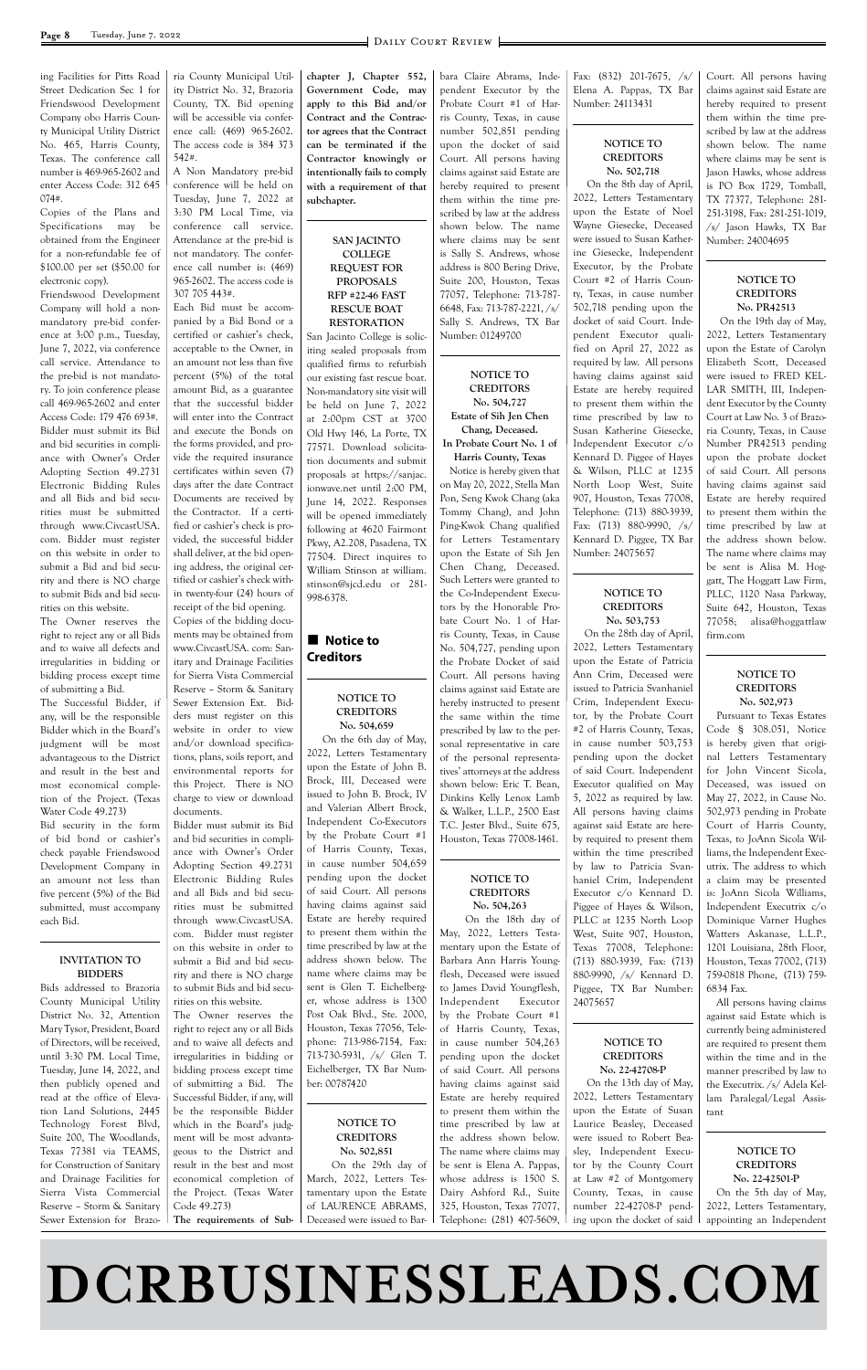# **DCRBUSINESSLEADS.COM**

ing Facilities for Pitts Road Street Dedication Sec 1 for Friendswood Development Company obo Harris County Municipal Utility District No. 465, Harris County, Texas. The conference call number is 469-965-2602 and enter Access Code: 312 645 074#.

Copies of the Plans and Specifications may be obtained from the Engineer for a non-refundable fee of \$100.00 per set (\$50.00 for electronic copy).

Friendswood Development Company will hold a nonmandatory pre-bid conference at 3:00 p.m., Tuesday, June 7, 2022, via conference call service. Attendance to the pre-bid is not mandatory. To join conference please call 469-965-2602 and enter Access Code: 179 476 693#. Bidder must submit its Bid and bid securities in compliance with Owner's Order Adopting Section 49.2731 Electronic Bidding Rules and all Bids and bid securities must be submitted through www.CivcastUSA. com. Bidder must register on this website in order to submit a Bid and bid security and there is NO charge to submit Bids and bid securities on this website.

The Owner reserves the right to reject any or all Bids and to waive all defects and irregularities in bidding or bidding process except time of submitting a Bid.

The Successful Bidder, if any, will be the responsible Bidder which in the Board's judgment will be most advantageous to the District and result in the best and most economical completion of the Project. (Texas Water Code 49.273)

Bid security in the form of bid bond or cashier's check payable Friendswood Development Company in an amount not less than five percent (5%) of the Bid submitted, must accompany each Bid.

#### **INVITATION TO BIDDERS**

Bids addressed to Brazoria

ria County Municipal Utility District No. 32, Brazoria County, TX. Bid opening will be accessible via conference call: (469) 965-2602. The access code is 384 373 542#.

A Non Mandatory pre-bid conference will be held on Tuesday, June 7, 2022 at 3:30 PM Local Time, via conference call service. Attendance at the pre-bid is not mandatory. The conference call number is: (469) 965-2602. The access code is 307 705 443#.

### **Notice to Creditors**

Each Bid must be accompanied by a Bid Bond or a certified or cashier's check, acceptable to the Owner, in an amount not less than five percent (5%) of the total amount Bid, as a guarantee that the successful bidder will enter into the Contract and execute the Bonds on the forms provided, and provide the required insurance certificates within seven (7) days after the date Contract Documents are received by the Contractor. If a certified or cashier's check is provided, the successful bidder shall deliver, at the bid opening address, the original certified or cashier's check within twenty-four (24) hours of receipt of the bid opening. Copies of the bidding documents may be obtained from www.CivcastUSA. com: Sanitary and Drainage Facilities for Sierra Vista Commercial Reserve – Storm & Sanitary Sewer Extension Ext. Bidders must register on this website in order to view and/or download specifications, plans, soils report, and environmental reports for this Project. There is NO charge to view or download documents.

Bidder must submit its Bid and bid securities in compliance with Owner's Order Adopting Section 49.2731 Electronic Bidding Rules and all Bids and bid securities must be submitted through www.CivcastUSA. com. Bidder must register on this website in order to submit a Bid and bid security and there is NO charge to submit Bids and bid securities on this website.

**chapter J, Chapter 552, Government Code, may apply to this Bid and/or Contract and the Contractor agrees that the Contract can be terminated if the Contractor knowingly or intentionally fails to comply with a requirement of that subchapter.**

**SAN JACINTO COLLEGE REQUEST FOR PROPOSALS RFP #22-46 FAST RESCUE BOAT RESTORATION** San Jacinto College is solic-

iting sealed proposals from qualified firms to refurbish our existing fast rescue boat. Non-mandatory site visit will be held on June 7, 2022 at 2:00pm CST at 3700 Old Hwy 146, La Porte, TX 77571. Download solicitation documents and submit proposals at https://sanjac. ionwave.net until 2:00 PM, June 14, 2022. Responses will be opened immediately following at 4620 Fairmont Pkwy, A2.208, Pasadena, TX 77504. Direct inquires to William Stinson at william. stinson@sjcd.edu or 281- 998-6378.

#### **NOTICE TO CREDITORS No. 504,659**

 On the 6th day of May, 2022, Letters Testamentary upon the Estate of John B. Brock, III, Deceased were issued to John B. Brock, IV and Valerian Albert Brock, Independent Co-Executors by the Probate Court #1 of Harris County, Texas, in cause number 504,659 pending upon the docket of said Court. All persons having claims against said Estate are hereby required to present them within the time prescribed by law at the address shown below. The name where claims may be sent is Glen T. Eichelbergbara Claire Abrams, Independent Executor by the Probate Court #1 of Harris County, Texas, in cause number 502,851 pending upon the docket of said Court. All persons having claims against said Estate are hereby required to present them within the time prescribed by law at the address shown below. The name where claims may be sent is Sally S. Andrews, whose address is 800 Bering Drive, Suite 200, Houston, Texas 77057, Telephone: 713-787- 6648, Fax: 713-787-2221, /s/ Sally S. Andrews, TX Bar Number: 01249700

**NOTICE TO CREDITORS No. 504,727 Estate of Sih Jen Chen Chang, Deceased. In Probate Court No. 1 of Harris County, Texas** Notice is hereby given that on May 20, 2022, Stella Man Pon, Seng Kwok Chang (aka Tommy Chang), and John Ping-Kwok Chang qualified for Letters Testamentary

| County Municipal Utility        | rities on this website.         | er, whose address is 1300    | Independent<br>Executor     | 24075657                    | All persons having claims     |
|---------------------------------|---------------------------------|------------------------------|-----------------------------|-----------------------------|-------------------------------|
| District No. 32, Attention      | The Owner reserves the          | Post Oak Blvd., Ste. 2000,   | by the Probate Court #1     |                             | against said Estate which is  |
| Mary Tysor, President, Board    | right to reject any or all Bids | Houston, Texas 77056, Tele-  | of Harris County, Texas,    |                             | currently being administered  |
| of Directors, will be received, | and to waive all defects and    | phone: 713-986-7154, Fax:    | in cause number 504,263     | NOTICE TO                   | are required to present them  |
| until 3:30 PM. Local Time,      | irregularities in bidding or    | 713-730-5931, $/s/$ Glen T.  | pending upon the docket     | <b>CREDITORS</b>            | within the time and in the    |
| Tuesday, June 14, 2022, and     | bidding process except time     | Eichelberger, TX Bar Num-    | of said Court. All persons  | No. 22-42708-P              | manner prescribed by law to   |
| then publicly opened and        | of submitting a Bid. The        | ber: 00787420                | having claims against said  | On the 13th day of May,     | the Executrix. /s/ Adela Kel- |
| read at the office of Eleva-    | Successful Bidder, if any, will |                              | Estate are hereby required  | 2022, Letters Testamentary  | lam Paralegal/Legal Assis-    |
| tion Land Solutions, 2445       | be the responsible Bidder       |                              | to present them within the  | upon the Estate of Susan    | tant                          |
| Technology Forest Blvd,         | which in the Board's judg-      | NOTICE TO                    | time prescribed by law at   | Laurice Beasley, Deceased   |                               |
| Suite 200, The Woodlands,       | ment will be most advanta-      | <b>CREDITORS</b>             | the address shown below.    | were issued to Robert Bea-  |                               |
| Texas 77381 via TEAMS,          | geous to the District and       | No. 502,851                  | The name where claims may   | sley, Independent Execu-    | NOTICE TO                     |
| for Construction of Sanitary    | result in the best and most     | On the 29th day of           | be sent is Elena A. Pappas, | tor by the County Court     | <b>CREDITORS</b>              |
| and Drainage Facilities for     | economical completion of        | March, 2022, Letters Tes-    | whose address is 1500 S.    | at Law #2 of Montgomery     | No. 22-42501-P                |
| Sierra Vista Commercial         | the Project. (Texas Water       | tamentary upon the Estate    | Dairy Ashford Rd., Suite    | County, Texas, in cause     | On the 5th day of May,        |
| Reserve - Storm & Sanitary      | Code 49.273)                    | of LAURENCE ABRAMS,          | 325, Houston, Texas 77077,  | number 22-42708-P pend-     | 2022, Letters Testamentary,   |
| Sewer Extension for Brazo-      | The requirements of Sub-        | Deceased were issued to Bar- | Telephone: (281) 407-5609,  | ing upon the docket of said | appointing an Independent     |
|                                 |                                 |                              |                             |                             |                               |

upon the Estate of Sih Jen Chen Chang, Deceased. Such Letters were granted to the Co-Independent Executors by the Honorable Probate Court No. 1 of Harris County, Texas, in Cause No. 504,727, pending upon the Probate Docket of said Court. All persons having claims against said Estate are hereby instructed to present the same within the time prescribed by law to the personal representative in care of the personal representatives' attorneys at the address shown below: Eric T. Bean, Dinkins Kelly Lenox Lamb & Walker, L.L.P., 2500 East T.C. Jester Blvd., Suite 675,

Houston, Texas 77008-1461.

#### **NOTICE TO CREDITORS No. 504,263**

 On the 18th day of May, 2022, Letters Testamentary upon the Estate of Barbara Ann Harris Youngflesh, Deceased were issued to James David Youngflesh,

Fax: (832) 201-7675, /s/ Elena A. Pappas, TX Bar Number: 24113431

#### **NOTICE TO CREDITORS No. 502,718**

 On the 8th day of April, 2022, Letters Testamentary upon the Estate of Noel Wayne Giesecke, Deceased were issued to Susan Katherine Giesecke, Independent Executor, by the Probate Court #2 of Harris County, Texas, in cause number 502,718 pending upon the docket of said Court. Independent Executor qualified on April 27, 2022 as required by law. All persons having claims against said Estate are hereby required to present them within the time prescribed by law to Susan Katherine Giesecke, Independent Executor c/o Kennard D. Piggee of Hayes & Wilson, PLLC at 1235 North Loop West, Suite 907, Houston, Texas 77008, Telephone: (713) 880-3939, Fax: (713) 880-9990, /s/ Kennard D. Piggee, TX Bar Number: 24075657

#### **NOTICE TO CREDITORS No. 503,753**

 On the 28th day of April, 2022, Letters Testamentary upon the Estate of Patricia Ann Crim, Deceased were issued to Patricia Svanhaniel Crim, Independent Executor, by the Probate Court #2 of Harris County, Texas, in cause number 503,753 pending upon the docket of said Court. Independent Executor qualified on May 5, 2022 as required by law. All persons having claims against said Estate are hereby required to present them within the time prescribed by law to Patricia Svanhaniel Crim, Independent Executor c/o Kennard D. Piggee of Hayes & Wilson, PLLC at 1235 North Loop West, Suite 907, Houston, Texas 77008, Telephone: (713) 880-3939, Fax: (713) 880-9990, /s/ Kennard D. Piggee, TX Bar Number:

Court. All persons having claims against said Estate are hereby required to present them within the time prescribed by law at the address shown below. The name where claims may be sent is Jason Hawks, whose address is PO Box 1729, Tomball, TX 77377, Telephone: 281- 251-3198, Fax: 281-251-1019, /s/ Jason Hawks, TX Bar Number: 24004695

#### **NOTICE TO CREDITORS No. PR42513**

 On the 19th day of May, 2022, Letters Testamentary upon the Estate of Carolyn Elizabeth Scott, Deceased were issued to FRED KEL-LAR SMITH, III, Independent Executor by the County Court at Law No. 3 of Brazoria County, Texas, in Cause Number PR42513 pending upon the probate docket of said Court. All persons having claims against said Estate are hereby required to present them within the time prescribed by law at the address shown below. The name where claims may be sent is Alisa M. Hoggatt, The Hoggatt Law Firm, PLLC, 1120 Nasa Parkway, Suite 642, Houston, Texas 77058; alisa@hoggattlaw firm.com

#### **NOTICE TO CREDITORS No. 502,973**

Pursuant to Texas Estates Code § 308.051, Notice is hereby given that original Letters Testamentary for John Vincent Sicola, Deceased, was issued on May 27, 2022, in Cause No. 502,973 pending in Probate Court of Harris County, Texas, to JoAnn Sicola Williams, the Independent Executrix. The address to which a claim may be presented is: JoAnn Sicola Williams, Independent Executrix c/o Dominique Varner Hughes Watters Askanase, L.L.P., 1201 Louisiana, 28th Floor, Houston, Texas 77002, (713) 759-0818 Phone, (713) 759- 6834 Fax.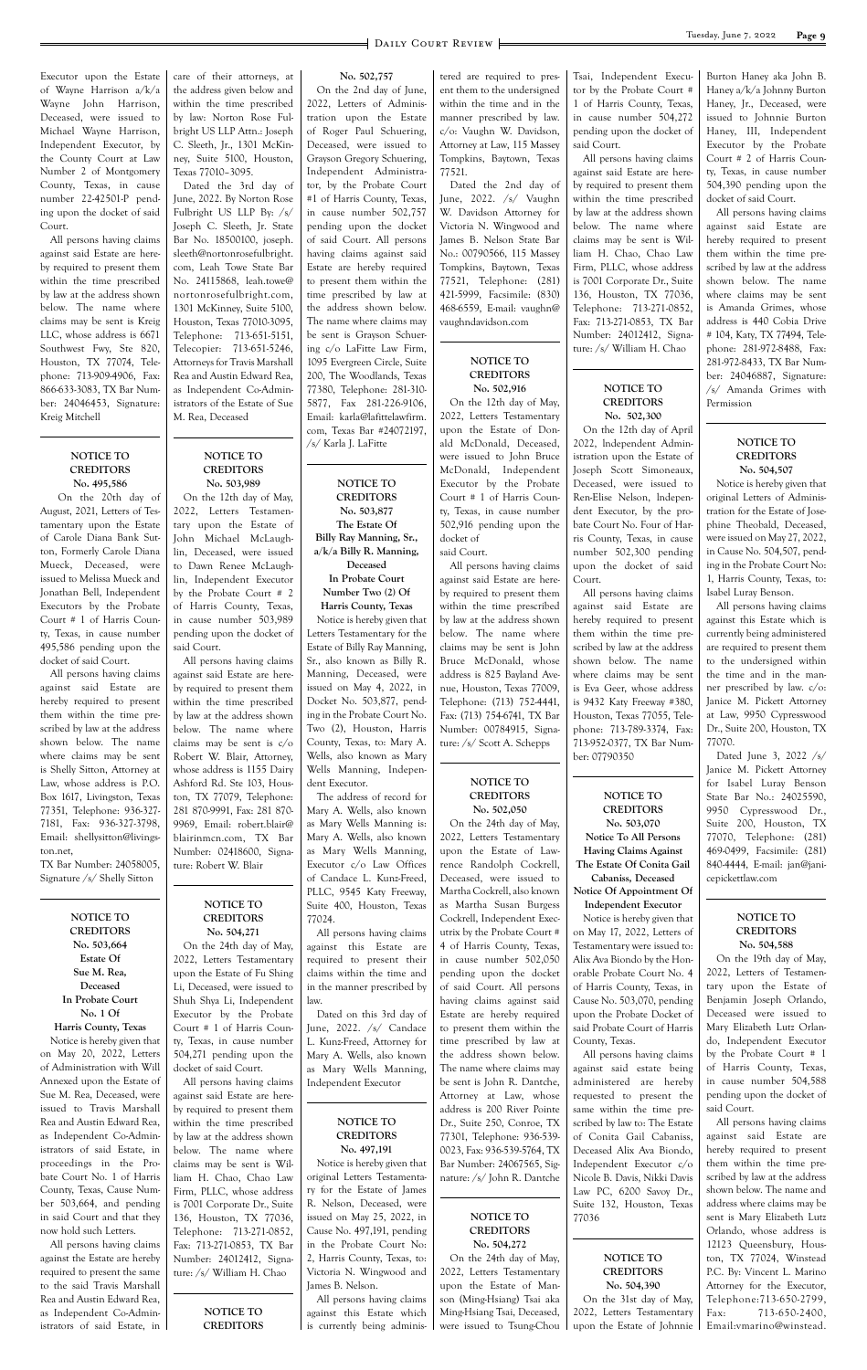Executor upon the Estate of Wayne Harrison a/k/a Wayne John Harrison, Deceased, were issued to Michael Wayne Harrison, Independent Executor, by the County Court at Law Number 2 of Montgomery County, Texas, in cause number 22-42501-P pending upon the docket of said Court.

All persons having claims against said Estate are hereby required to present them within the time prescribed by law at the address shown below. The name where claims may be sent is Kreig LLC, whose address is 6671 Southwest Fwy, Ste 820, Houston, TX 77074, Telephone: 713-909-4906, Fax: 866-633-3083, TX Bar Number: 24046453, Signature: Kreig Mitchell

#### **NOTICE TO CREDITORS No. 495,586**

 On the 20th day of August, 2021, Letters of Testamentary upon the Estate of Carole Diana Bank Sutton, Formerly Carole Diana Mueck, Deceased, were issued to Melissa Mueck and Jonathan Bell, Independent Executors by the Probate Court # 1 of Harris County, Texas, in cause number 495,586 pending upon the docket of said Court.

All persons having claims against said Estate are hereby required to present them within the time prescribed by law at the address shown below. The name where claims may be sent is Shelly Sitton, Attorney at Law, whose address is P.O. Box 1617, Livingston, Texas 77351, Telephone: 936-327- 7181, Fax: 936-327-3798, Email: shellysitton@livingston.net,

TX Bar Number: 24058005, Signature /s/ Shelly Sitton

**NOTICE TO CREDITORS No. 503,664 Estate Of Sue M. Rea, Deceased In Probate Court No. 1 Of Harris County, Texas** Notice is hereby given that on May 20, 2022, Letters of Administration with Will Annexed upon the Estate of Sue M. Rea, Deceased, were issued to Travis Marshall Rea and Austin Edward Rea, as Independent Co-Administrators of said Estate, in proceedings in the Probate Court No. 1 of Harris County, Texas, Cause Number 503,664, and pending in said Court and that they now hold such Letters. All persons having claims against the Estate are hereby required to present the same to the said Travis Marshall Rea and Austin Edward Rea, as Independent Co-Administrators of said Estate, in

care of their attorneys, at the address given below and within the time prescribed by law: Norton Rose Fulbright US LLP Attn.: Joseph C. Sleeth, Jr., 1301 McKinney, Suite 5100, Houston, Texas 77010–3095.

Dated the 3rd day of June, 2022. By Norton Rose Fulbright US LLP By: /s/ Joseph C. Sleeth, Jr. State Bar No. 18500100, joseph. sleeth@nortonrosefulbright. com, Leah Towe State Bar No. 24115868, leah.towe@ nortonrosefulbright.com, 1301 McKinney, Suite 5100, Houston, Texas 77010-3095, Telephone: 713-651-5151, Telecopier: 713-651-5246, Attorneys for Travis Marshall Rea and Austin Edward Rea, as Independent Co-Administrators of the Estate of Sue M. Rea, Deceased

#### **NOTICE TO CREDITORS No. 503,989**

On the 12th day of May, 2022, Letters Testamentary upon the Estate of John Michael McLaughlin, Deceased, were issued to Dawn Renee McLaughlin, Independent Executor by the Probate Court # 2 of Harris County, Texas, in cause number 503,989 pending upon the docket of said Court.

All persons having claims against said Estate are hereby required to present them within the time prescribed by law at the address shown below. The name where claims may be sent is c/o Robert W. Blair, Attorney, whose address is 1155 Dairy Ashford Rd. Ste 103, Houston, TX 77079, Telephone: 281 870-9991, Fax: 281 870- 9969, Email: robert.blair@ blairinmcn.com, TX Bar Number: 02418600, Signature: Robert W. Blair

#### **NOTICE TO CREDITORS No. 504,271**

On the 24th day of May, 2022, Letters Testamentary upon the Estate of Fu Shing Li, Deceased, were issued to Shuh Shya Li, Independent Executor by the Probate Court # 1 of Harris County, Texas, in cause number 504,271 pending upon the docket of said Court. All persons having claims against said Estate are hereby required to present them within the time prescribed by law at the address shown below. The name where claims may be sent is William H. Chao, Chao Law Firm, PLLC, whose address is 7001 Corporate Dr., Suite 136, Houston, TX 77036, Telephone: 713-271-0852, Fax: 713-271-0853, TX Bar Number: 24012412, Signature: /s/ William H. Chao

> **NOTICE TO CREDITORS**

**No. 502,757**

On the 2nd day of June, 2022, Letters of Administration upon the Estate of Roger Paul Schuering, Deceased, were issued to Grayson Gregory Schuering, Independent Administrator, by the Probate Court #1 of Harris County, Texas, in cause number 502,757 pending upon the docket of said Court. All persons having claims against said Estate are hereby required to present them within the time prescribed by law at the address shown below. The name where claims may be sent is Grayson Schuering c/o LaFitte Law Firm, 1095 Evergreen Circle, Suite 200, The Woodlands, Texas 77380, Telephone: 281-310- 5877, Fax 281-226-9106, Email: karla@lafittelawfirm. com, Texas Bar #24072197, /s/ Karla J. LaFitte

**NOTICE TO CREDITORS No. 503,877 The Estate Of Billy Ray Manning, Sr., a/k/a Billy R. Manning, Deceased In Probate Court Number Two (2) Of Harris County, Texas** Notice is hereby given that Letters Testamentary for the Estate of Billy Ray Manning, Sr., also known as Billy R. Manning, Deceased, were issued on May 4, 2022, in Docket No. 503,877, pending in the Probate Court No. Two (2), Houston, Harris County, Texas, to: Mary A. Wells, also known as Mary Wells Manning, Independent Executor.

The address of record for Mary A. Wells, also known as Mary Wells Manning is: Mary A. Wells, also known as Mary Wells Manning, Executor c/o Law Offices of Candace L. Kunz-Freed, PLLC, 9545 Katy Freeway, Suite 400, Houston, Texas 77024.

All persons having claims against this Estate are required to present their claims within the time and in the manner prescribed by law.

Dated on this 3rd day of June, 2022. /s/ Candace L. Kunz-Freed, Attorney for Mary A. Wells, also known as Mary Wells Manning, Independent Executor

**NOTICE TO CREDITORS No. 497,191** Notice is hereby given that original Letters Testamentary for the Estate of James R. Nelson, Deceased, were issued on May 25, 2022, in Cause No. 497,191, pending in the Probate Court No:

2, Harris County, Texas, to: Victoria N. Wingwood and James B. Nelson. All persons having claims

against this Estate which is currently being administered are required to present them to the undersigned within the time and in the manner prescribed by law. c/o: Vaughn W. Davidson, Attorney at Law, 115 Massey Tompkins, Baytown, Texas 77521.

Dated the 2nd day of June, 2022. /s/ Vaughn W. Davidson Attorney for Victoria N. Wingwood and James B. Nelson State Bar No.: 00790566, 115 Massey Tompkins, Baytown, Texas 77521, Telephone: (281) 421-5999, Facsimile: (830) 468-6559, E-mail: vaughn@ vaughndavidson.com

#### **NOTICE TO CREDITORS No. 502,916**

On the 12th day of May, 2022, Letters Testamentary upon the Estate of Donald McDonald, Deceased, were issued to John Bruce McDonald, Independent Executor by the Probate Court # 1 of Harris County, Texas, in cause number 502,916 pending upon the docket of

said Court.

All persons having claims against said Estate are hereby required to present them within the time prescribed by law at the address shown below. The name where claims may be sent is John Bruce McDonald, whose address is 825 Bayland Avenue, Houston, Texas 77009, Telephone: (713) 752-4441, Fax: (713) 754-6741, TX Bar Number: 00784915, Signature: /s/ Scott A. Schepps

#### **NOTICE TO CREDITORS No. 502,050**

**NOTICE TO CREDITORS No. 504,272** On the 24th day of May, 2022, Letters Testamentary upon the Estate of Manson (Ming-Hsiang) Tsai aka

Ming-Hsiang Tsai, Deceased, were issued to Tsung-Chou

Tsai, Independent Executor by the Probate Court # 1 of Harris County, Texas, in cause number 504,272 pending upon the docket of said Court.

All persons having claims against said Estate are hereby required to present them within the time prescribed by law at the address shown below. The name where claims may be sent is William H. Chao, Chao Law Firm, PLLC, whose address is 7001 Corporate Dr., Suite 136, Houston, TX 77036, Telephone: 713-271-0852, Fax: 713-271-0853, TX Bar Number: 24012412, Signature: /s/ William H. Chao

On the 24th day of May, 2022, Letters Testamentary upon the Estate of Lawrence Randolph Cockrell, Deceased, were issued to Martha Cockrell, also known as Martha Susan Burgess Cockrell, Independent Executrix by the Probate Court # 4 of Harris County, Texas, in cause number 502,050 pending upon the docket of said Court. All persons having claims against said Estate are hereby required to present them within the time prescribed by law at the address shown below. The name where claims may be sent is John R. Dantche, Attorney at Law, whose address is 200 River Pointe Dr., Suite 250, Conroe, TX 77301, Telephone: 936-539- 0023, Fax: 936-539-5764, TX County, Texas. same within the time prescribed by law to: The Estate of Conita Gail Cabaniss, Deceased Alix Ava Biondo,

#### **NOTICE TO CREDITORS No. 502,300**

On the 12th day of April 2022, lndependent Administration upon the Estate of Joseph Scott Simoneaux, Deceased, were issued to Ren-Elise Nelson, lndependent Executor, by the probate Court No. Four of Harris County, Texas, in cause number 502,300 pending upon the docket of said Court.

Bar Number: 24067565, Signature: /s/ John R. Dantche Independent Executor c/o Nicole B. Davis, Nikki Davis Law PC, 6200 Savoy Dr., Suite 132, Houston, Texas 77036 **NOTICE TO CREDITORS**

All persons having claims against said Estate are hereby required to present them within the time prescribed by law at the address shown below. The name where claims may be sent is Eva Geer, whose address is 9432 Katy Freeway #380, Houston, Texas 77055, Telephone: 713-789-3374, Fax: 713-952-0377, TX Bar Number: 07790350

#### **NOTICE TO CREDITORS No. 503,070**

**Notice To All Persons Having Claims Against The Estate Of Conita Gail Cabaniss, Deceased**

#### **Notice Of Appointment Of Independent Executor**

Notice is hereby given that on May 17, 2022, Letters of Testamentary were issued to: Alix Ava Biondo by the Honorable Probate Court No. 4 of Harris County, Texas, in Cause No. 503,070, pending

**No. 504,390** On the 31st day of May, 2022, Letters Testamentary upon the Estate of Johnnie

Burton Haney aka John B. Haney a/k/a Johnny Burton Haney, Jr., Deceased, were issued to Johnnie Burton Haney, III, Independent Executor by the Probate Court # 2 of Harris County, Texas, in cause number 504,390 pending upon the docket of said Court.

All persons having claims against said Estate are hereby required to present them within the time prescribed by law at the address shown below. The name where claims may be sent is Amanda Grimes, whose address is 440 Cobia Drive # 104, Katy, TX 77494, Telephone: 281-972-8488, Fax: 281-972-8433, TX Bar Number: 24046887, Signature: /s/ Amanda Grimes with Permission

upon the Probate Docket of said Probate Court of Harris All persons having claims against said estate being administered are hereby requested to present the On the 19th day of May, 2022, Letters of Testamentary upon the Estate of Benjamin Joseph Orlando, Deceased were issued to Mary Elizabeth Lutz Orlando, Independent Executor by the Probate Court # 1 of Harris County, Texas, in cause number 504,588 pending upon the docket of

#### **NOTICE TO CREDITORS No. 504,507**

Notice is hereby given that original Letters of Administration for the Estate of Josephine Theobald, Deceased, were issued on May 27, 2022, in Cause No. 504,507, pending in the Probate Court No: 1, Harris County, Texas, to: Isabel Luray Benson.

All persons having claims against this Estate which is currently being administered are required to present them to the undersigned within the time and in the manner prescribed by law. c/o: Janice M. Pickett Attorney at Law, 9950 Cypresswood Dr., Suite 200, Houston, TX 77070.

Dated June 3, 2022 /s/ Janice M. Pickett Attorney for Isabel Luray Benson State Bar No.: 24025590, 9950 Cypresswood Dr., Suite 200, Houston, TX 77070, Telephone: (281) 469-0499, Facsimile: (281) 840-4444, E-mail: jan@janicepickettlaw.com

#### **NOTICE TO CREDITORS No. 504,588**

said Court.

All persons having claims against said Estate are hereby required to present them within the time prescribed by law at the address shown below. The name and address where claims may be sent is Mary Elizabeth Lutz Orlando, whose address is 12123 Queensbury, Houston, TX 77024, Winstead P.C. By: Vincent L. Marino Attorney for the Executor, Telephone:713-650-2799, Fax: 713-650-2400, Email:vmarino@winstead.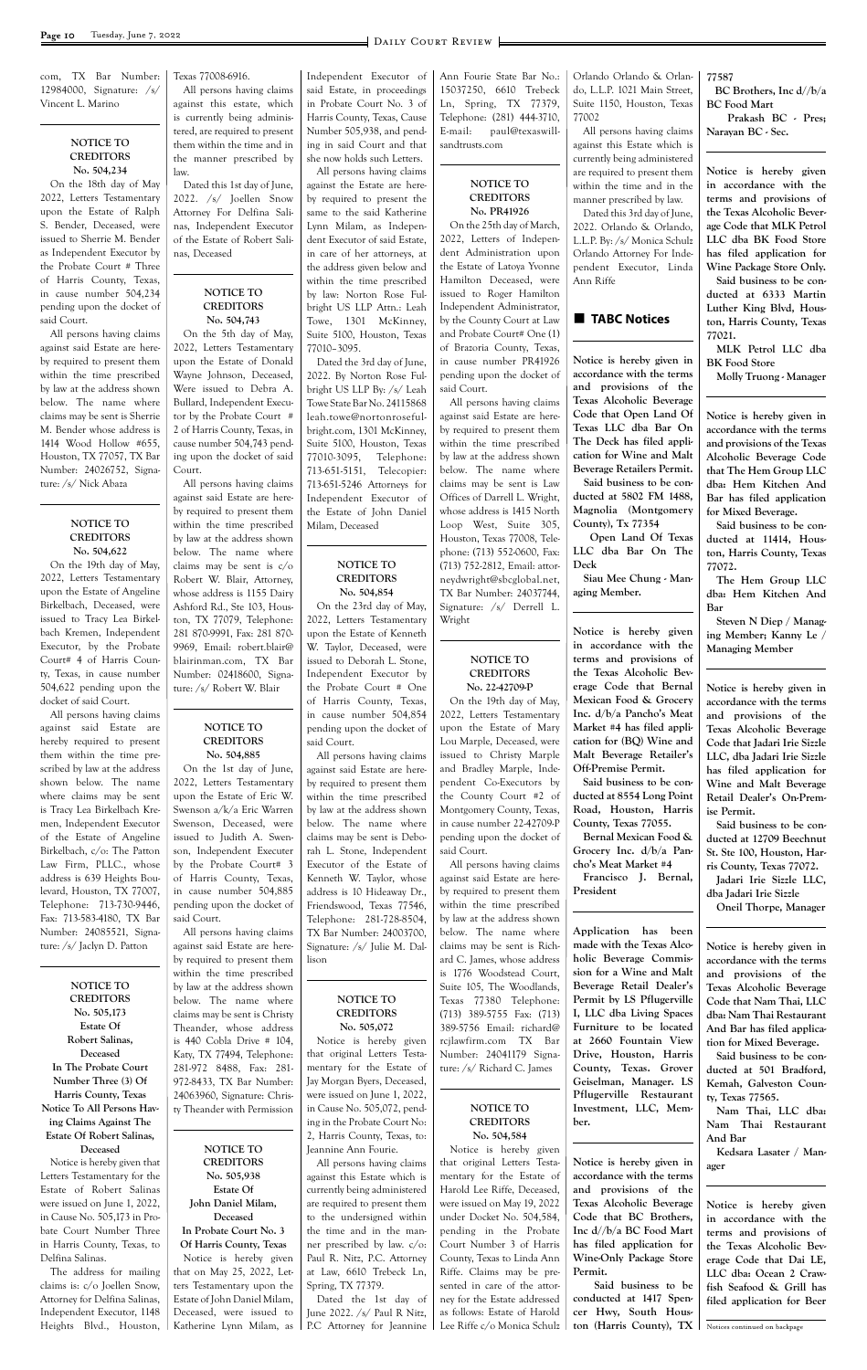com, TX Bar Number: 12984000, Signature: /s/ Vincent L. Marino

#### **NOTICE TO CREDITORS No. 504,234**

On the 18th day of May 2022, Letters Testamentary upon the Estate of Ralph S. Bender, Deceased, were issued to Sherrie M. Bender as Independent Executor by the Probate Court # Three of Harris County, Texas, in cause number 504,234 pending upon the docket of said Court.

All persons having claims against said Estate are hereby required to present them within the time prescribed by law at the address shown below. The name where claims may be sent is Sherrie M. Bender whose address is 1414 Wood Hollow #655, Houston, TX 77057, TX Bar Number: 24026752, Signature: /s/ Nick Abaza

#### **NOTICE TO CREDITORS No. 504,622**

On the 19th day of May, 2022, Letters Testamentary upon the Estate of Angeline Birkelbach, Deceased, were issued to Tracy Lea Birkelbach Kremen, Independent Executor, by the Probate Court# 4 of Harris County, Texas, in cause number 504,622 pending upon the docket of said Court.

All persons having claims against said Estate are hereby required to present them within the time prescribed by law at the address shown below. The name where claims may be sent is Tracy Lea Birkelbach Kremen, Independent Executor of the Estate of Angeline Birkelbach, c/o: The Patton Law Firm, PLLC., whose address is 639 Heights Boulevard, Houston, TX 77007, Telephone: 713-730-9446, Fax: 713-583-4180, TX Bar Number: 24085521, Signature: /s/ Jaclyn D. Patton

#### **NOTICE TO CREDITORS**

Texas 77008-6916. All persons having claims against this estate, which is currently being administered, are required to present them within the time and in the manner prescribed by law.

Dated this 1st day of June, 2022. /s/ Joellen Snow Attorney For Delfina Salinas, Independent Executor of the Estate of Robert Salinas, Deceased

#### **NOTICE TO CREDITORS No. 504,743**

On the 5th day of May, 2022, Letters Testamentary upon the Estate of Donald Wayne Johnson, Deceased, Were issued to Debra A. Bullard, Independent Executor by the Probate Court # 2 of Harris County, Texas, in cause number 504,743 pending upon the docket of said Court.

All persons having claims against said Estate are hereby required to present them within the time prescribed by law at the address shown below. The name where claims may be sent is c/o Robert W. Blair, Attorney, whose address is 1155 Dairy Ashford Rd., Ste 103, Houston, TX 77079, Telephone: 281 870-9991, Fax: 281 870- 9969, Email: robert.blair@ blairinman.com, TX Bar Number: 02418600, Signature: /s/ Robert W. Blair

#### **NOTICE TO CREDITORS No. 504,885**

On the 1st day of June, 2022, Letters Testamentary upon the Estate of Eric W. Swenson a/k/a Eric Warren Swenson, Deceased, were issued to Judith A. Swenson, Independent Executer by the Probate Court# 3 of Harris County, Texas, in cause number 504,885 pending upon the docket of said Court.

All persons having claims against said Estate are hereby required to present them within the time prescribed by law at the address shown below. The name where Independent Executor of said Estate, in proceedings in Probate Court No. 3 of Harris County, Texas, Cause Number 505,938, and pending in said Court and that she now holds such Letters.

All persons having claims against the Estate are hereby required to present the same to the said Katherine Lynn Milam, as Independent Executor of said Estate, in care of her attorneys, at the address given below and within the time prescribed by law: Norton Rose Fulbright US LLP Attn.: Leah Towe, 1301 McKinney, Suite 5100, Houston, Texas 77010–3095.

Dated the 3rd day of June, 2022. By Norton Rose Fulbright US LLP By: /s/ Leah Towe State Bar No. 24115868 leah.towe@nortonrosefulbright.com, 1301 McKinney, Suite 5100, Houston, Texas 77010-3095, Telephone: 713-651-5151, Telecopier: 713-651-5246 Attorneys for Independent Executor of the Estate of John Daniel Milam, Deceased

#### **NOTICE TO CREDITORS No. 504,854**

On the 23rd day of May, 2022, Letters Testamentary upon the Estate of Kenneth W. Taylor, Deceased, were issued to Deborah L. Stone, Independent Executor by the Probate Court # One of Harris County, Texas, in cause number 504,854 pending upon the docket of said Court.

All persons having claims against said Estate are hereby required to present them within the time prescribed by law at the address shown below. The name where claims may be sent is Deborah L. Stone, Independent Executor of the Estate of Kenneth W. Taylor, whose address is 10 Hideaway Dr., Friendswood, Texas 77546, Telephone: 281-728-8504, TX Bar Number: 24003700, Signature: /s/ Julie M. Dallison

**NOTICE TO**

Ann Fourie State Bar No.: 15037250, 6610 Trebeck Ln, Spring, TX 77379, Telephone: (281) 444-3710, E-mail: paul@texaswillsandtrusts.com

#### **NOTICE TO CREDITORS No. PR41926**

On the 25th day of March, 2022, Letters of Independent Administration upon the Estate of Latoya Yvonne Hamilton Deceased, were issued to Roger Hamilton Independent Administrator, by the County Court at Law and Probate Court# One (1) of Brazoria County, Texas, in cause number PR41926 pending upon the docket of said Court.

| No. 505,173                   | claims may be sent is Christy | <b>CREDITORS</b>              | $(713)$ 389-5755 Fax: $(713)$ | I, LLC dba Living Spaces  | dba: Nam Thai Restaurant      |
|-------------------------------|-------------------------------|-------------------------------|-------------------------------|---------------------------|-------------------------------|
| Estate Of                     | Theander, whose address       | No. 505,072                   | 389-5756 Email: richard@      | Furniture to be located   | And Bar has filed applica-    |
| Robert Salinas,               | is $440$ Cobla Drive # 104,   | Notice is hereby given        | rcjlawfirm.com TX Bar         | at 2660 Fountain View     | tion for Mixed Beverage.      |
| Deceased                      | Katy, TX 77494, Telephone:    | that original Letters Testa-  | Number: 24041179 Signa-       | Drive, Houston, Harris    | Said business to be con-      |
| In The Probate Court          | 281-972 8488, Fax: 281-       | mentary for the Estate of     | ture: /s/ Richard C. James    | County, Texas. Grover     | ducted at 501 Bradford,       |
| Number Three (3) Of           | 972-8433, TX Bar Number:      | Jay Morgan Byers, Deceased,   |                               | Geiselman, Manager. LS    | Kemah, Galveston Coun-        |
| Harris County, Texas          | 24063960, Signature: Chris-   | were issued on June 1, 2022,  |                               | Pflugerville Restaurant   | ty, Texas 77565.              |
| Notice To All Persons Hav-    | ty Theander with Permission   | in Cause No. 505,072, pend-   | NOTICE TO                     | Investment, LLC, Mem-     | Nam Thai, LLC dba:            |
| ing Claims Against The        |                               | ing in the Probate Court No:  | <b>CREDITORS</b>              | ber.                      | Nam Thai Restaurant           |
| Estate Of Robert Salinas,     |                               | 2, Harris County, Texas, to:  | No. 504,584                   |                           | And Bar                       |
| Deceased                      | NOTICE TO                     | Jeannine Ann Fourie.          | Notice is hereby given        |                           | Kedsara Lasater / Man-        |
| Notice is hereby given that   | <b>CREDITORS</b>              | All persons having claims     | that original Letters Testa-  | Notice is hereby given in | ager                          |
| Letters Testamentary for the  | No. 505,938                   | against this Estate which is  | mentary for the Estate of     | accordance with the terms |                               |
| Estate of Robert Salinas      | Estate Of                     | currently being administered  | Harold Lee Riffe, Deceased,   | and provisions of the     |                               |
| were issued on June 1, 2022,  | John Daniel Milam,            | are required to present them  | were issued on May 19, 2022   | Texas Alcoholic Beverage  | Notice is hereby given        |
| in Cause No. 505,173 in Pro-  | Deceased                      | to the undersigned within     | under Docket No. 504,584,     | Code that BC Brothers,    | in accordance with the        |
| bate Court Number Three       | In Probate Court No. 3        | the time and in the man-      | pending in the Probate        | Inc d//b/a BC Food Mart   | terms and provisions of       |
| in Harris County, Texas, to   | Of Harris County, Texas       | ner prescribed by law. c/o:   | Court Number 3 of Harris      | has filed application for | the Texas Alcoholic Bev-      |
| Delfina Salinas.              | Notice is hereby given        | Paul R. Nitz, P.C. Attorney   | County, Texas to Linda Ann    | Wine-Only Package Store   | erage Code that Dai LE,       |
| The address for mailing       | that on May 25, 2022, Let-    | at Law, 6610 Trebeck Ln,      | Riffe. Claims may be pre-     | Permit.                   | LLC dba: Ocean 2 Craw-        |
| claims is: c/o Joellen Snow,  | ters Testamentary upon the    | Spring, TX 77379.             | sented in care of the attor-  | Said business to be       | fish Seafood & Grill has      |
| Attorney for Delfina Salinas, | Estate of John Daniel Milam,  | Dated the 1st day of          | ney for the Estate addressed  | conducted at 1417 Spen-   | filed application for Beer    |
| Independent Executor, 1148    | Deceased, were issued to      | June 2022. $/s/$ Paul R Nitz, | as follows: Estate of Harold  | cer Hwy, South Hous-      |                               |
| Heights Blvd., Houston,       | Katherine Lynn Milam, as l    | P.C Attorney for Jeannine     | Lee Riffe c/o Monica Schulz   | ton (Harris County), TX   | Notices continued on backpage |
|                               |                               |                               |                               |                           |                               |

All persons having claims against said Estate are hereby required to present them within the time prescribed by law at the address shown below. The name where claims may be sent is Law Offices of Darrell L. Wright, whose address is 1415 North Loop West, Suite 305, Houston, Texas 77008, Telephone: (713) 552-0600, Fax: (713) 752-2812, Email: attorneydwright@sbcglobal.net, TX Bar Number: 24037744, Signature: /s/ Derrell L. Wright

#### **NOTICE TO CREDITORS No. 22-42709-P**

On the 19th day of May, 2022, Letters Testamentary upon the Estate of Mary Lou Marple, Deceased, were issued to Christy Marple and Bradley Marple, Independent Co-Executors by the County Court #2 of Montgomery County, Texas, in cause number 22-42709-P pending upon the docket of said Court.

All persons having claims against said Estate are hereby required to present them within the time prescribed by law at the address shown below. The name where claims may be sent is Richard C. James, whose address is 1776 Woodstead Court, Suite 105, The Woodlands, Texas 77380 Telephone:

Orlando Orlando & Orlando, L.L.P. 1021 Main Street, Suite 1150, Houston, Texas 77002

All persons having claims against this Estate which is currently being administered are required to present them within the time and in the manner prescribed by law.

Dated this 3rd day of June, 2022. Orlando & Orlando, L.L.P. By: /s/ Monica Schulz Orlando Attorney For Independent Executor, Linda Ann Riffe

#### **n** TABC Notices

**Notice is hereby given in accordance with the terms and provisions of the Texas Alcoholic Beverage Code that Open Land Of Texas LLC dba Bar On The Deck has filed application for Wine and Malt Beverage Retailers Permit.**

 **Said business to be conducted at 5802 FM 1488, Magnolia (Montgomery County), Tx 77354**

 **Open Land Of Texas LLC dba Bar On The Deck**

 **Siau Mee Chung - Managing Member.**

**Notice is hereby given in accordance with the terms and provisions of the Texas Alcoholic Beverage Code that Bernal Mexican Food & Grocery Inc. d/b/a Pancho's Meat Market #4 has filed application for (BQ) Wine and Malt Beverage Retailer's Off-Premise Permit.**

**Said business to be conducted at 8554 Long Point Road, Houston, Harris County, Texas 77055.**

**Bernal Mexican Food & Grocery Inc. d/b/a Pancho's Meat Market #4 Francisco J. Bernal, President**

**Application has been made with the Texas Alcoholic Beverage Commission for a Wine and Malt Beverage Retail Dealer's Permit by LS Pflugerville** 

**77587 BC Brothers, Inc d//b/a BC Food Mart**

 **Prakash BC - Pres; Narayan BC - Sec.**

**Notice is hereby given in accordance with the terms and provisions of the Texas Alcoholic Beverage Code that MLK Petrol LLC dba BK Food Store has filed application for Wine Package Store Only.**

**Said business to be conducted at 6333 Martin Luther King Blvd, Houston, Harris County, Texas 77021.**

**MLK Petrol LLC dba BK Food Store**

**Molly Truong - Manager**

**Notice is hereby given in accordance with the terms and provisions of the Texas Alcoholic Beverage Code that The Hem Group LLC dba: Hem Kitchen And Bar has filed application for Mixed Beverage.**

**Said business to be conducted at 11414, Houston, Harris County, Texas 77072.**

**The Hem Group LLC dba: Hem Kitchen And Bar**

**Steven N Diep / Managing Member; Kanny Le / Managing Member**

**Notice is hereby given in accordance with the terms and provisions of the Texas Alcoholic Beverage Code that Jadari Irie Sizzle LLC, dba Jadari Irie Sizzle has filed application for Wine and Malt Beverage Retail Dealer's On-Premise Permit.**

**Said business to be conducted at 12709 Beechnut St. Ste 100, Houston, Harris County, Texas 77072.**

**Jadari Irie Sizzle LLC, dba Jadari Irie Sizzle**

**Oneil Thorpe, Manager**

**Notice is hereby given in accordance with the terms and provisions of the Texas Alcoholic Beverage Code that Nam Thai, LLC**